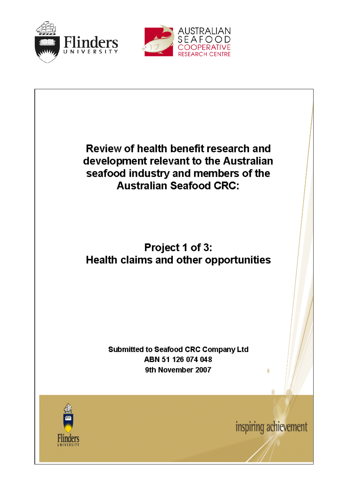



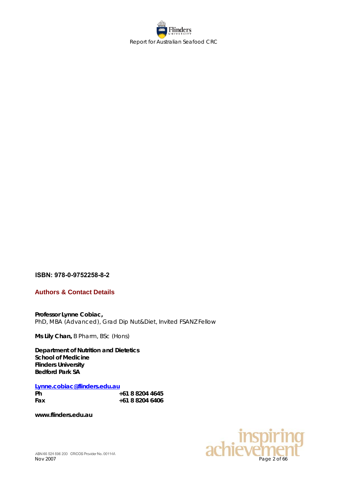

# **ISBN: 978-0-9752258-8-2**

**Authors & Contact Details**

**Professor Lynne Cobiac,** PhD, MBA (Advanced), Grad Dip Nut&Diet, Invited FSANZ Fellow

**Ms Lily Chan,** B Pharm, BSc (Hons)

**Department of Nutrition and Dietetics School of Medicine Flinders University Bedford Park SA** 

**[Lynne.cobiac@flinders.edu.au](mailto:Lynne.cobiac@flinders.edu.au)**

| Ph  | +61 8 8204 4645 |  |
|-----|-----------------|--|
| Fax | +61 8 8204 6406 |  |

**www.flinders.edu.au**

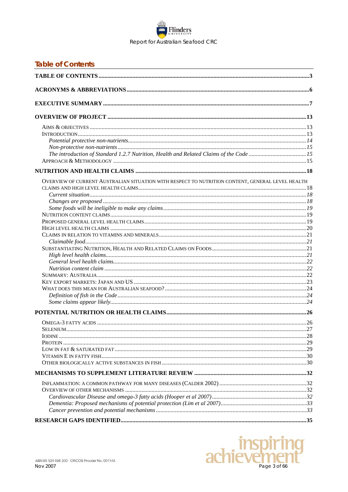

<span id="page-2-0"></span>

| <b>Table of Contents</b>                                                                         |  |
|--------------------------------------------------------------------------------------------------|--|
|                                                                                                  |  |
|                                                                                                  |  |
|                                                                                                  |  |
|                                                                                                  |  |
|                                                                                                  |  |
|                                                                                                  |  |
|                                                                                                  |  |
|                                                                                                  |  |
| The introduction of Standard 1.2.7 Nutrition, Health and Related Claims of the Code 15           |  |
|                                                                                                  |  |
|                                                                                                  |  |
| OVERVIEW OF CURRENT AUSTRALIAN SITUATION WITH RESPECT TO NUTRITION CONTENT, GENERAL LEVEL HEALTH |  |
|                                                                                                  |  |
|                                                                                                  |  |
|                                                                                                  |  |
|                                                                                                  |  |
|                                                                                                  |  |
|                                                                                                  |  |
|                                                                                                  |  |
|                                                                                                  |  |
|                                                                                                  |  |
|                                                                                                  |  |
|                                                                                                  |  |
|                                                                                                  |  |
|                                                                                                  |  |
|                                                                                                  |  |
|                                                                                                  |  |
|                                                                                                  |  |
|                                                                                                  |  |
|                                                                                                  |  |
|                                                                                                  |  |
|                                                                                                  |  |
|                                                                                                  |  |
|                                                                                                  |  |
|                                                                                                  |  |
|                                                                                                  |  |
|                                                                                                  |  |
|                                                                                                  |  |
|                                                                                                  |  |
|                                                                                                  |  |
|                                                                                                  |  |
|                                                                                                  |  |
|                                                                                                  |  |
|                                                                                                  |  |

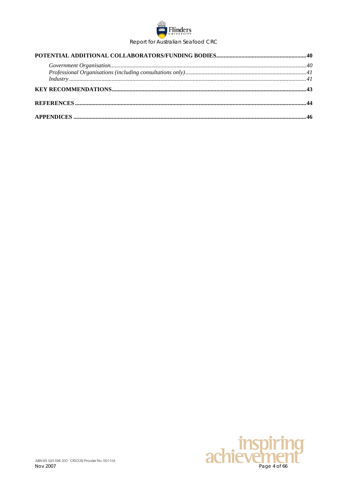

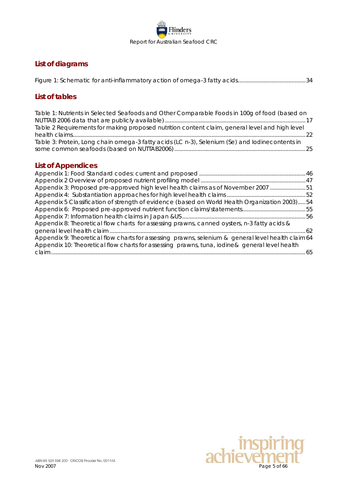

# **List of diagrams**

# **List of tables**

| Table 1: Nutrients in Selected Seafoods and Other Comparable Foods in 100g of food (based on   |  |
|------------------------------------------------------------------------------------------------|--|
| Table 2 Requirements for making proposed nutrition content claim, general level and high level |  |
|                                                                                                |  |
| Table 3: Protein, Long chain omega-3 fatty acids (LC n-3), Selenium (Se) and lodinecontents in |  |
|                                                                                                |  |

# **List of Appendices**

| Appendix 3: Proposed pre-approved high level health claims as of November 2007 51                  |  |
|----------------------------------------------------------------------------------------------------|--|
|                                                                                                    |  |
| Appendix 5 Classification of strength of evidence (based on World Health Organization 2003)54      |  |
|                                                                                                    |  |
|                                                                                                    |  |
| Appendix 8: Theoretical flow charts for assessing prawns, canned oysters, n-3 fatty acids &        |  |
|                                                                                                    |  |
| Appendix 9: Theoretical flow charts for assessing prawns, selenium & general level health claim 64 |  |
| Appendix 10: Theoretical flow charts for assessing prawns, tuna, iodine& general level health      |  |
|                                                                                                    |  |

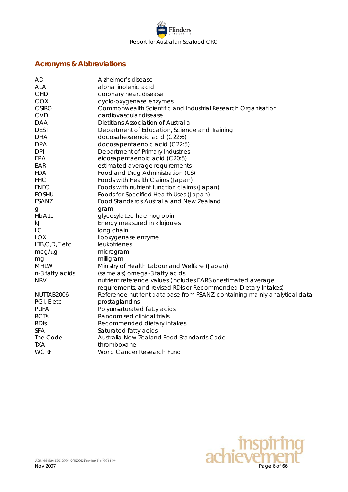

# <span id="page-5-0"></span>**Acronyms & Abbreviations**

| AD                 | Alzheimer's disease                                                       |
|--------------------|---------------------------------------------------------------------------|
| <b>ALA</b>         | alpha linolenic acid                                                      |
| CHD                | coronary heart disease                                                    |
| <b>COX</b>         | cyclo-oxygenase enzymes                                                   |
| <b>CSIRO</b>       | Commonwealth Scientific and Industrial Research Organisation              |
| <b>CVD</b>         | cardiovascular disease                                                    |
| <b>DAA</b>         | Dietitians Association of Australia                                       |
| <b>DEST</b>        | Department of Education, Science and Training                             |
| <b>DHA</b>         | docosahexaenoic acid (C22:6)                                              |
| <b>DPA</b>         | docosapentaenoic acid (C22:5)                                             |
| <b>DPI</b>         | Department of Primary Industries                                          |
| EPA                | eicosapentaenoic acid (C20:5)                                             |
| EAR                | estimated average requirements                                            |
| <b>FDA</b>         | Food and Drug Administration (US)                                         |
| <b>FHC</b>         | Foods with Health Claims (Japan)                                          |
| <b>FNFC</b>        | Foods with nutrient function claims (Japan)                               |
| <b>FOSHU</b>       | Foods for Specified Health Uses (Japan)                                   |
| <b>FSANZ</b>       | Food Standards Australia and New Zealand                                  |
| g                  | gram                                                                      |
| HbA1c              | glycosylated haemoglobin                                                  |
| kJ                 | Energy measured in kilojoules                                             |
| <b>LC</b>          | long chain                                                                |
| <b>LOX</b>         | lipoxygenase enzyme                                                       |
| $LTB, C, D, E$ etc | leukotrienes                                                              |
| $mcg/\mu g$        | microgram                                                                 |
| mg                 | milligram                                                                 |
| <b>MHLW</b>        | Ministry of Health Labour and Welfare (Japan)                             |
| n-3 fatty acids    | (same as) omega-3 fatty acids                                             |
| <b>NRV</b>         | nutrient reference values (includes EARS or estimated average             |
|                    | requirements, and revised RDIs or Recommended Dietary Intakes)            |
| NUTTAB2006         | Reference nutrient database from FSANZ, containing mainly analytical data |
| PGI, E etc         | prostaglandins                                                            |
| <b>PUFA</b>        | Polyunsaturated fatty acids                                               |
| <b>RCTs</b>        | Randomised clinical trials                                                |
| <b>RDIS</b>        | Recommended dietary intakes                                               |
| <b>SFA</b>         | Saturated fatty acids                                                     |
| The Code           | Australia New Zealand Food Standards Code                                 |
| <b>TXA</b>         | thromboxane                                                               |
| <b>WCRF</b>        | World Cancer Research Fund                                                |
|                    |                                                                           |

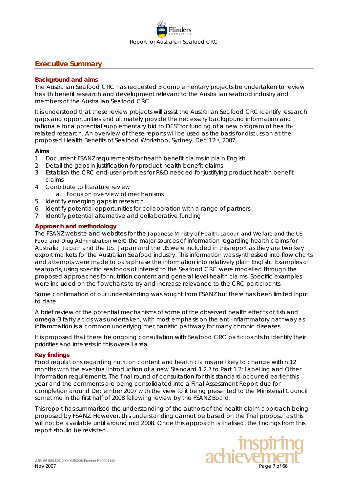

## <span id="page-6-0"></span>**Executive Summary**

#### **Background and aims**

The Australian Seafood CRC has requested 3 complementary projects be undertaken to review health benefit research and development relevant to the Australian seafood industry and members of the Australian Seafood CRC.

It is understood that these review projects will assist the Australian Seafood CRC identify research gaps and opportunities and ultimately provide the necessary background information and rationale for a potential supplementary bid to DEST for funding of a new program of healthrelated research. An overview of these reports will be used as the basis for discussion at the proposed Health Benefits of Seafood Workshop, Sydney, Dec 12th, 2007.

#### **Aims**

- 1. Document FSANZ requirements for health benefit claims in plain English
- 2. Detail the gaps in justification for product health benefit claims
- 3. Establish the CRC end-user priorities for R&D needed for justifying product health benefit claims
- 4. Contribute to literature review
	- a. Focus on overview of mechanisms
- 5. Identify emerging gaps in research
- 6. Identify potential opportunities for collaboration with a range of partners
- 7. Identify potential alternative and collaborative funding

### **Approach and methodology**

The FSANZ website and websites for the Japanese Ministry of Health, Labour, and Welfare and the US Food and Drug Administration were the major sources of information regarding health claims for Australia, Japan and the US. Japan and the US were included in this report as they are two key export markets for the Australian Seafood industry. This information was synthesised into flow charts and attempts were made to paraphrase the information into relatively plain English. Examples of seafoods, using specific seafoods of interest to the Seafood CRC were modelled through the proposed approaches for nutrition content and general level health claims. Specific examples were included on the flowcharts to try and increase relevance to the CRC participants.

Some confirmation of our understanding was sought from FSANZ but there has been limited input to date.

A brief review of the potential mechanisms of some of the observed health effects of fish and omega-3 fatty acids was undertaken, with most emphasis on the anti-inflammatory pathway as inflammation is a common underlying mechanistic pathway for many chronic diseases.

It is proposed that there be ongoing consultation with Seafood CRC participants to identify their priorities and interests in this overall area.

#### **Key findings**

Food regulations regarding nutrition content and health claims are likely to change within 12 months with the eventual introduction of a new Standard 1.2.7 to Part 1.2: Labelling and Other Information requirements. The final round of consultation for this standard occurred earlier this year and the comments are being consolidated into a Final Assessment Report due for completion around December 2007 with the view to it being presented to the Ministerial Council sometime in the first half of 2008 following review by the FSANZ Board.

This report has summarised the understanding of the authors of the health claim approach being proposed by FSANZ. However, this understanding cannot be based on the final proposal as this will not be available until around mid 2008. Once this approach is finalised, the findings from this report should be revisited.

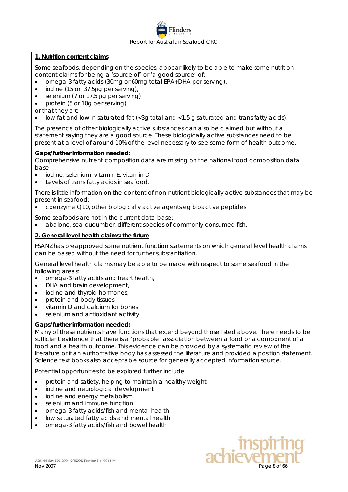

### **1. Nutrition content claims**

Some seafoods, depending on the species, appear likely to be able to make some nutrition content claims for being a 'source of' or 'a good source' of:

- omega-3 fatty acids (30mg or 60mg total EPA+DHA per serving),
- iodine (15 or 37.5µg per serving),
- selenium (7 or 17.5 µg per serving)
- protein (5 or 10g per serving)
- or that they are
- low fat and low in saturated fat  $\langle$ <3g total and <1.5 g saturated and trans fatty acids).

The presence of other biologically active substances can also be claimed but without a statement saying they are a good source. These biologically active substances need to be present at a level of around 10% of the level necessary to see some form of health outcome.

#### *Gaps/further information needed:*

Comprehensive nutrient composition data are missing on the national food composition data base:

- iodine, selenium, vitamin E, vitamin D
- Levels of trans fatty acids in seafood.

There is little information on the content of non-nutrient biologically active substances that may be present in seafood:

• coenzyme Q10, other biologically active agents eg bioactive peptides

Some seafoods are not in the current data-base:

• abalone, sea cucumber, different species of commonly consumed fish.

### **2. General level health claims: the future**

FSANZ has preapproved some nutrient function statements on which general level health claims can be based without the need for further substantiation.

General level health claims may be able to be made with respect to some seafood in the following areas:

- omega-3 fatty acids and heart health,
- DHA and brain development.
- iodine and thyroid hormones,
- protein and body tissues,
- vitamin D and calcium for bones
- selenium and antioxidant activity.

### *Gaps/further information needed:*

Many of these nutrients have functions that extend beyond those listed above. There needs to be sufficient evidence that there is a 'probable' association between a food or a component of a food and a health outcome. This evidence can be provided by a systematic review of the literature or if an authoritative body has assessed the literature and provided a position statement. Science text books also acceptable source for generally accepted information source.

Potential opportunities to be explored further include

- protein and satiety, helping to maintain a healthy weight
- iodine and neurological development
- iodine and energy metabolism
- selenium and immune function
- omega-3 fatty acids/fish and mental health
- low saturated fatty acids and mental health
- omega-3 fatty acids/fish and bowel health

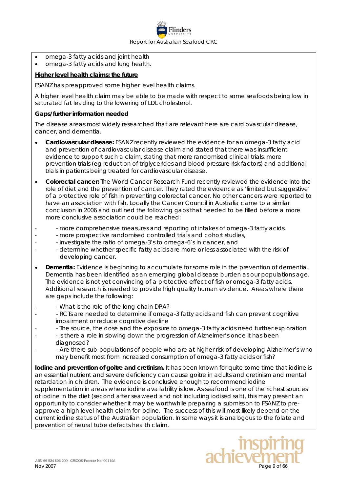

- omega-3 fatty acids and joint health
- omega-3 fatty acids and lung health.

### **Higher level health claims: the future**

FSANZ has preapproved some higher level health claims.

A higher level health claim may be able to be made with respect to some seafoods being low in saturated fat leading to the lowering of LDL cholesterol.

#### *Gaps/further information needed*

The disease areas most widely researched that are relevant here are cardiovascular disease, cancer, and dementia.

- **Cardiovascular disease:** FSANZ recently reviewed the evidence for an omega-3 fatty acid and prevention of cardiovascular disease claim and stated that there was insufficient evidence to support such a claim, stating that more randomised clinical trials, more prevention trials (eg reduction of triglycerides and blood pressure risk factors) and additional trials in patients being treated for cardiovascular disease.
- **Colorectal cancer:** The World Cancer Research Fund recently reviewed the evidence into the role of diet and the prevention of cancer. They rated the evidence as 'limited but suggestive' of a protective role of fish in preventing colorectal cancer. No other cancers were reported to have an association with fish. Locally the Cancer Council in Australia came to a similar conclusion in 2006 and outlined the following gaps that needed to be filled before a more more conclusive association could be reached:
- - more comprehensive measures and reporting of intakes of omega-3 fatty acids
- - more prospective randomised controlled trials and cohort studies,
- - investigate the ratio of omega-3's to omega-6's in cancer, and
- - determine whether specific fatty acids are more or less associated with the risk of developing cancer.
- **Dementia:** Evidence is beginning to accumulate for some role in the prevention of dementia. Dementia has been identified as an emerging global disease burden as our populations age. The evidence is not yet convincing of a protective effect of fish or omega-3 fatty acids. Additional research is needed to provide high quality human evidence. Areas where there are gaps include the following:
- What is the role of the long chain DPA?
- RCTs are needed to determine if omega-3 fatty acids and fish can prevent cognitive impairment or reduce cognitive decline
- - The source, the dose and the exposure to omega-3 fatty acids need further exploration
- - Is there a role in slowing down the progression of Alzheimer's once it has been diagnosed?
- - Are there sub-populations of people who are at higher risk of developing Alzheimer's who may benefit most from increased consumption of omega-3 fatty acids or fish?

**Iodine and prevention of goitre and cretinism.** It has been known for quite some time that iodine is an essential nutrient and severe deficiency can cause goitre in adults and cretinism and mental retardation in children. The evidence is conclusive enough to recommend iodine supplementation in areas where iodine availability is low. As seafood is one of the richest sources of iodine in the diet (second after seaweed and not including iodised salt), this may present an opportunity to consider whether it may be worthwhile preparing a submission to FSANZ to preapprove a high level health claim for iodine. The success of this will most likely depend on the current iodine status of the Australian population. In some ways it is analogous to the folate and prevention of neural tube defects health claim.

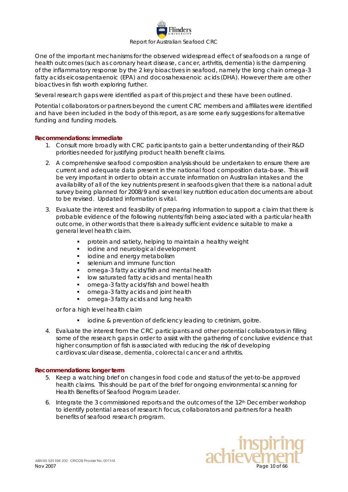

One of the important mechanisms for the observed widespread effect of seafoods on a range of health outcomes (such as coronary heart disease, cancer, arthritis, dementia) is the dampening of the inflammatory response by the 2 key bioactives in seafood, namely the long chain omega-3 fatty acids eicosapentaenoic (EPA) and docosahexaenoic acids (DHA). However there are other bioactives in fish worth exploring further.

Several research gaps were identified as part of this project and these have been outlined.

Potential collaborators or partners beyond the current CRC members and affiliates were identified and have been included in the body of this report, as are some early suggestions for alternative funding and funding models.

### **Recommendations: immediate**

- 1. Consult more broadly with CRC participants to gain a better understanding of their R&D priorities needed for justifying product health benefit claims.
- 2. A comprehensive seafood composition analysis should be undertaken to ensure there are current and adequate data present in the national food composition data-base. This will be very important in order to obtain accurate information on Australian intakes and the availability of all of the key nutrients present in seafoods given that there is a national adult survey being planned for 2008/9 and several key nutrition education documents are about to be revised. Updated information is vital.
- 3. Evaluate the interest and feasibility of preparing information to support a claim that there is probable evidence of the following nutrients/fish being associated with a particular health outcome, in other words that there is already sufficient evidence suitable to make a general level health claim.
	- protein and satiety, helping to maintain a healthy weight
	- iodine and neurological development
	- iodine and energy metabolism
	- selenium and immune function
	- omega-3 fatty acids/fish and mental health
	- low saturated fatty acids and mental health
	- omega-3 fatty acids/fish and bowel health
	- omega-3 fatty acids and joint health
	- omega-3 fatty acids and lung health

or for a high level health claim

- **i** iodine & prevention of deficiency leading to cretinism, goitre.
- 4. Evaluate the interest from the CRC participants and other potential collaborators in filling some of the research gaps in order to assist with the gathering of conclusive evidence that higher consumption of fish is associated with reducing the risk of developing cardiovascular disease, dementia, colorectal cancer and arthritis.

#### **Recommendations: longer term**

- 5. Keep a watching brief on changes in food code and status of the yet-to-be approved health claims. This should be part of the brief for ongoing environmental scanning for Health Benefits of Seafood Program Leader.
- 6. Integrate the 3 commissioned reports and the outcomes of the 12th December workshop to identify potential areas of research focus, collaborators and partners for a health benefits of seafood research program.

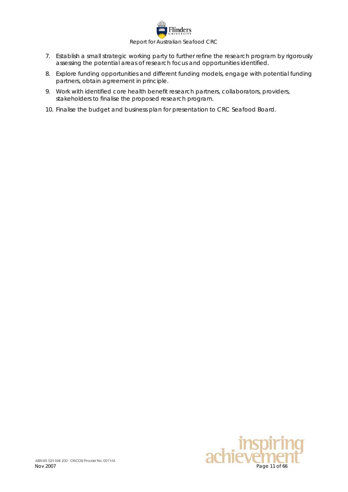

- 7. Establish a small strategic working party to further refine the research program by rigorously assessing the potential areas of research focus and opportunities identified.
- 8. Explore funding opportunities and different funding models, engage with potential funding partners, obtain agreement in principle.
- 9. Work with identified core health benefit research partners, collaborators, providers, stakeholders to finalise the proposed research program.
- 10. Finalise the budget and business plan for presentation to CRC Seafood Board.

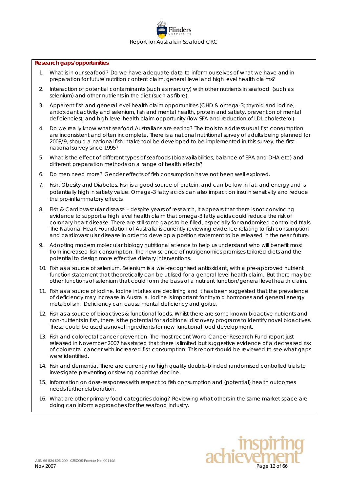#### **Research gaps/opportunities**

- 1. What is in our seafood? Do we have adequate data to inform ourselves of what we have and in preparation for future nutrition content claim, general level and high level health claims?
- 2. Interaction of potential contaminants (such as mercury) with other nutrients in seafood (such as selenium) and other nutrients in the diet (such as fibre).
- 3. Apparent fish and general level health claim opportunities (CHD & omega-3; thyroid and iodine, antioxidant activity and selenium, fish and mental health, protein and satiety, prevention of mental deficiencies); and high level health claim opportunity (low SFA and reduction of LDL cholesterol).
- 4. Do we really know what seafood Australians are eating? The tools to address usual fish consumption are inconsistent and often incomplete. There is a national nutritional survey of adults being planned for 2008/9, should a national fish intake tool be developed to be implemented in this survey, the first national survey since 1995?
- 5. What is the effect of different types of seafoods (bioavailabilities, balance of EPA and DHA etc) and different preparation methods on a range of health effects?
- 6. Do men need more? Gender effects of fish consumption have not been well explored.
- 7. Fish, Obesity and Diabetes. Fish is a good source of protein, and can be low in fat, and energy and is potentially high in satiety value. Omega-3 fatty acids can also impact on insulin sensitivity and reduce the pro-inflammatory effects.
- 8. Fish & Cardiovascular disease despite years of research, it appears that there is not convincing evidence to support a high level health claim that omega-3 fatty acids could reduce the risk of coronary heart disease. There are still some gaps to be filled, especially for randomised controlled trials. The National Heart Foundation of Australia is currently reviewing evidence relating to fish consumption and cardiovascular disease in order to develop a position statement to be released in the near future.
- 9. Adopting modern molecular biology nutritional science to help us understand who will benefit most from increased fish consumption. The new science of nutrigenomics promises tailored diets and the potential to design more effective dietary interventions.
- 10. Fish as a source of selenium. Selenium is a well-recognised antioxidant, with a pre-approved nutrient function statement that theoretically can be utilised for a general level health claim. But there may be other functions of selenium that could form the basis of a nutrient function/general level health claim.
- 11. Fish as a source of iodine. Iodine intakes are declining and it has been suggested that the prevalence of deficiency may increase in Australia. Iodine is important for thyroid hormones and general energy metabolism. Deficiency can cause mental deficiency and goitre.
- 12. Fish as a source of bioactives & functional foods. Whilst there are some known bioactive nutrients and non-nutrients in fish, there is the potential for additional discovery programs to identify novel bioactives. These could be used as novel ingredients for new functional food development.
- 13. Fish and colorectal cancer prevention. The most recent World Cancer Research Fund report just released in November 2007 has stated that there is limited but suggestive evidence of a decreased risk of colorectal cancer with increased fish consumption. This report should be reviewed to see what gaps were identified.
- 14. Fish and dementia. There are currently no high quality double-blinded randomised controlled trials to investigate preventing or slowing cognitive decline.
- 15. Information on dose-responses with respect to fish consumption and (potential) health outcomes needs further elaboration.
- 16. What are other primary food categories doing? Reviewing what others in the same market space are doing can inform approaches for the seafood industry.

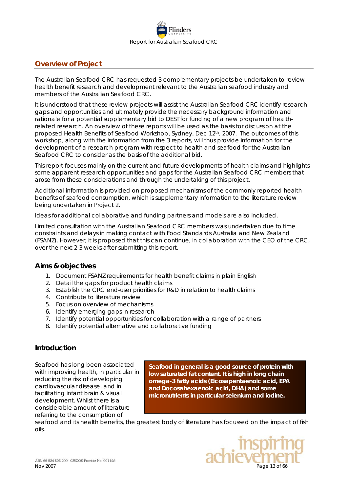

# <span id="page-12-0"></span>**Overview of Project**

The Australian Seafood CRC has requested 3 complementary projects be undertaken to review health benefit research and development relevant to the Australian seafood industry and members of the Australian Seafood CRC.

It is understood that these review projects will assist the Australian Seafood CRC identify research gaps and opportunities and ultimately provide the necessary background information and rationale for a potential supplementary bid to DEST for funding of a new program of healthrelated research. An overview of these reports will be used as the basis for discussion at the proposed Health Benefits of Seafood Workshop, Sydney, Dec 12th, 2007. The outcomes of this workshop, along with the information from the 3 reports, will thus provide information for the development of a research program with respect to health and seafood for the Australian Seafood CRC to consider as the basis of the additional bid.

This report focuses mainly on the current and future developments of health claims and highlights some apparent research opportunities and gaps for the Australian Seafood CRC members that arose from these considerations and through the undertaking of this project.

Additional information is provided on proposed mechanisms of the commonly reported health benefits of seafood consumption, which is supplementary information to the literature review being undertaken in Project 2.

Ideas for additional collaborative and funding partners and models are also included.

Limited consultation with the Australian Seafood CRC members was undertaken due to time constraints and delays in making contact with Food Standards Australia and New Zealand (FSANZ). However, it is proposed that this can continue, in collaboration with the CEO of the CRC, over the next 2-3 weeks after submitting this report.

### <span id="page-12-1"></span>*Aims & objectives*

- 1. Document FSANZ requirements for health benefit claims in plain English
- 2. Detail the gaps for product health claims
- 3. Establish the CRC end-user priorities for R&D in relation to health claims
- 4. Contribute to literature review
- 5. Focus on overview of mechanisms
- 6. Identify emerging gaps in research
- 7. Identify potential opportunities for collaboration with a range of partners
- 8. Identify potential alternative and collaborative funding

# <span id="page-12-2"></span>*Introduction*

Seafood has long been associated with improving health, in particular in reducing the risk of developing cardiovascular disease, and in facilitating infant brain & visual development. Whilst there is a considerable amount of literature referring to the consumption of

**Seafood in general is a good source of protein with low saturated fat content. It is high in long chain omega-3 fatty acids (Eicosapentaenoic acid, EPA and Docosahexaenoic acid, DHA) and some micronutrients in particular selenium and iodine.** 

seafood and its health benefits, the greatest body of literature has focussed on the impact of fish oils.

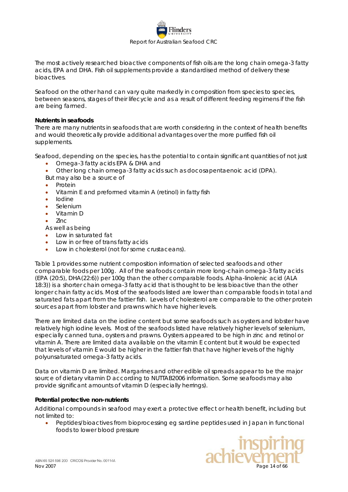

The most actively researched bioactive components of fish oils are the long chain omega-3 fatty acids, EPA and DHA. Fish oil supplements provide a standardised method of delivery these bioactives.

Seafood on the other hand can vary quite markedly in composition from species to species, between seasons, stages of their lifecycle and as a result of different feeding regimens if the fish are being farmed.

#### **Nutrients in seafoods**

There are many nutrients in seafoods that are worth considering in the context of health benefits and would theoretically provide additional advantages over the more purified fish oil supplements.

Seafood, depending on the species, has the potential to contain significant quantities of not just

- Omega-3 fatty acids EPA & DHA and
- Other long chain omega-3 fatty acids such as docosapentaenoic acid (DPA).

But may also be a source of

- Protein
- Vitamin E and preformed vitamin A (retinol) in fatty fish
- Iodine
- Selenium
- Vitamin D
- Zinc

As well as being

- Low in saturated fat
- Low in or free of *trans* fatty acids
- Low in cholesterol (not for some crustaceans).

Table 1 provides some nutrient composition information of selected seafoods and other comparable foods per 100g. All of the seafoods contain more long-chain omega-3 fatty acids (EPA (20:5), DHA(22:6)) per 100g than the other comparable foods. Alpha-linolenic acid (ALA 18:3)) is a shorter chain omega-3 fatty acid that is thought to be less bioactive than the other longer chain fatty acids. Most of the seafoods listed are lower than comparable foods in total and saturated fats apart from the fattier fish. Levels of cholesterol are comparable to the other protein sources apart from lobster and prawns which have higher levels.

There are limited data on the iodine content but some seafoods such as oysters and lobster have relatively high iodine levels. Most of the seafoods listed have relatively higher levels of selenium, especially canned tuna, oysters and prawns. Oysters appeared to be high in zinc and retinol or vitamin A. There are limited data available on the vitamin E content but it would be expected that levels of vitamin E would be higher in the fattier fish that have higher levels of the highly polyunsaturated omega-3 fatty acids.

Data on vitamin D are limited. Margarines and other edible oil spreads appear to be the major source of dietary vitamin D according to NUTTAB2006 information. Some seafoods may also provide significant amounts of vitamin D (especially herrings).

#### <span id="page-13-0"></span>**Potential protective non-nutrients**

Additional compounds in seafood may exert a protective effect or health benefit, including but not limited to:

• Peptides/bioactives from bioprocessing eg sardine peptides used in Japan in functional foods to lower blood pressure

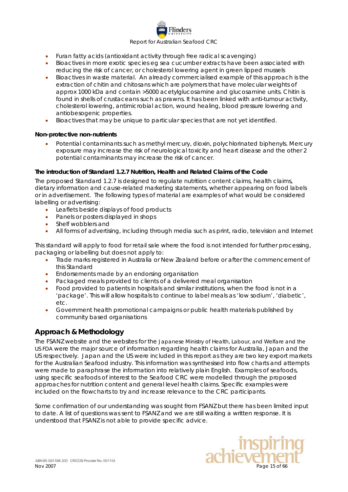### Report for Australian Seafood CRC

linders

- Furan fatty acids (antioxidant activity through free radical scavenging)
- Bioactives in more exotic species eg sea cucumber extracts have been associated with reducing the risk of cancer, or cholesterol lowering agent in green lipped mussels
- Bioactives in waste material. An already commercialised example of this approach is the extraction of chitin and chitosans which are polymers that have molecular weights of approx 1000 kDa and contain >5000 acetylglucosamine and glucosamine units. Chitin is found in shells of crustaceans such as prawns. It has been linked with anti-tumour activity, cholesterol lowering, antimicrobial action, wound healing, blood pressure lowering and antiobesogenic properties.
- Bioactives that may be unique to particular species that are not yet identified.

# <span id="page-14-0"></span>**Non-protective non-nutrients**

• Potential contaminants such as methyl mercury, dioxin, polychlorinated biphenyls. Mercury exposure may increase the risk of neurological toxicity and heart disease and the other 2 potential contaminants may increase the risk of cancer.

# <span id="page-14-1"></span>**The introduction of Standard 1.2.7 Nutrition, Health and Related Claims of the Code**

The proposed Standard 1.2.7 is designed to regulate nutrition content claims, health claims, dietary information and cause-related marketing statements, whether appearing on food labels or in advertisement. The following types of material are examples of what would be considered labelling or advertising:

- Leaflets beside displays of food products
- Panels or posters displayed in shops
- Shelf wobblers and
- All forms of advertising, including through media such as print, radio, television and Internet

This standard will apply to food for retail sale where the food is not intended for further processing, packaging or labelling but does not apply to:

- Trade marks registered in Australia or New Zealand before or after the commencement of this Standard
- Endorsements made by an endorsing organisation
- Packaged meals provided to clients of a delivered meal organisation
- Food provided to patients in hospitals and similar institutions, when the food is not in a 'package'. This will allow hospitals to continue to label meals as 'low sodium', 'diabetic', etc.
- Government health promotional campaigns or public health materials published by community based organisations

# <span id="page-14-2"></span>*Approach & Methodology*

The FSANZ website and the websites for the Japanese Ministry of Health, Labour, and Welfare and the US FDA were the major source of information regarding health claims for Australia, Japan and the US respectively. Japan and the US were included in this report as they are two key export markets for the Australian Seafood industry. This information was synthesised into flow charts and attempts were made to paraphrase the information into relatively plain English. Examples of seafoods, using specific seafoods of interest to the Seafood CRC were modelled through the proposed approaches for nutrition content and general level health claims. Specific examples were included on the flowcharts to try and increase relevance to the CRC participants.

Some confirmation of our understanding was sought from FSANZ but there has been limited input to date. A list of questions was sent to FSANZ and we are still waiting a written response. It is understood that FSANZ is not able to provide specific advice.

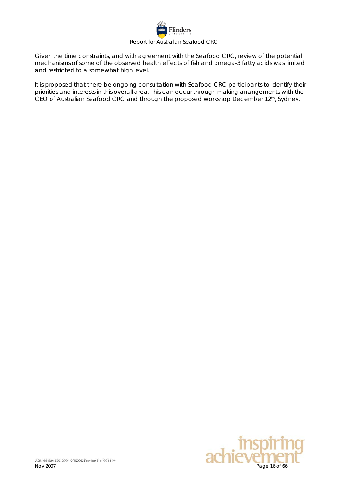

Given the time constraints, and with agreement with the Seafood CRC, review of the potential mechanisms of some of the observed health effects of fish and omega-3 fatty acids was limited and restricted to a somewhat high level.

It is proposed that there be ongoing consultation with Seafood CRC participants to identify their priorities and interests in this overall area. This can occur through making arrangements with the CEO of Australian Seafood CRC and through the proposed workshop December 12th, Sydney.

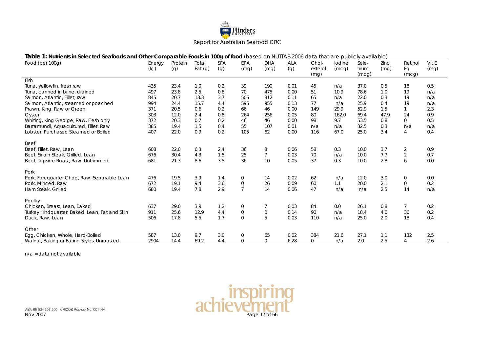

Vit E (mg)

| Table 1: Nutrients in Selected Seafoods and Other Comparable Foods in 100g of food (based on NUTTAB 2006 data that are publicly available) |                |                |                    |                   |             |             |              |                          |                 |                        |              |                        |           |
|--------------------------------------------------------------------------------------------------------------------------------------------|----------------|----------------|--------------------|-------------------|-------------|-------------|--------------|--------------------------|-----------------|------------------------|--------------|------------------------|-----------|
| Food (per 100g)                                                                                                                            | Energy<br>(kJ) | Protein<br>(g) | Total<br>Fat $(g)$ | <b>SFA</b><br>(q) | EPA<br>(mg) | DHA<br>(mg) | ALA<br>(g)   | Chol-<br>esterol<br>(mg) | Iodine<br>(mcq) | Sele-<br>nium<br>(mcg) | Zinc<br>(mq) | Retinol<br>Ea<br>(mcg) | Vit<br>(m |
| Fish                                                                                                                                       |                |                |                    |                   |             |             |              |                          |                 |                        |              |                        |           |
| Tuna, yellowfin, fresh raw                                                                                                                 | 435            | 23.4           | 1.0                | 0.2               | 39          | 190         | 0.01         |                          | n/a             | 37.0                   | 0.5          | 18                     | 0.5       |
| Tuna, canned in brine, drained                                                                                                             | 497            | 23.8           | 2.5                | 0.8               | 70          | 475         | 0.00         |                          | 10.9            | 78.6                   | 1.0          | 19                     | n/i       |
| Salmon Atlantic Eillot raw                                                                                                                 | 015            | 207            | 122                | っっ                | <b>EUE</b>  | 012         | $\bigcap$ 11 |                          | n/a             | າາ ∩                   | <b>Ω</b>     | 10                     | n/        |

| Tuna, canned in brine, drained                | 497  | 23.8 | 2.5  | 0.8 | 70             | 475         | 0.00 | 51       | 10.9  | 78.6 | 1.0  | 19             | n/a |
|-----------------------------------------------|------|------|------|-----|----------------|-------------|------|----------|-------|------|------|----------------|-----|
| Salmon, Atlantic, Fillet, raw                 | 845  | 20.7 | 13.3 | 3.7 | 505            | 812         | 0.11 | 65       | n/a   | 22.0 | 0.3  | 19             | n/a |
| Salmon, Atlantic, steamed or poached          | 994  | 24.4 | 15.7 | 4.4 | 595            | 955         | 0.13 | 77       | n/a   | 25.9 | 0.4  | 19             | n/a |
| Prawn, King, Raw or Green                     | 371  | 20.5 | 0.6  | 0.2 | 66             | 46          | 0.00 | 149      | 29.9  | 52.9 | 1.5  |                | 2.3 |
| Oyster                                        | 303  | 12.0 | 2.4  | 0.8 | 264            | 256         | 0.05 | 80       | 162.0 | 69.4 | 47.9 | 24             | 0.9 |
| Whiting, King George, Raw, Flesh only         | 372  | 20.3 | 0.7  | 0.2 | 46             | 46          | 0.00 | 98       | 9.7   | 53.5 | 0.8  | $\Omega$       | 0.5 |
| Barramundi, Aquacultured, Fillet, Raw         | 385  | 19.4 | 1.5  | 0.4 | 55             | 107         | 0.01 | n/a      | n/a   | 32.5 | 0.3  | n/a            | n/a |
| Lobster, Purchased Steamed or Boiled          | 407  | 22.0 | 0.9  | 0.2 | 105            | 62          | 0.00 | 116      | 67.0  | 25.0 | 3.4  | 4              | 0.4 |
| Beef                                          |      |      |      |     |                |             |      |          |       |      |      |                |     |
| Beef, Fillet, Raw, Lean                       | 608  | 22.0 | 6.3  | 2.4 | 36             | 8           | 0.06 | 58       | 0.3   | 10.0 | 3.7  | $\overline{2}$ | 0.9 |
| Beef, Sirloin Steak, Grilled, Lean            | 676  | 30.4 | 4.3  | 1.5 | 25             |             | 0.03 | 70       | n/a   | 10.0 | 7.7  | $\overline{2}$ | 0.7 |
| Beef, Topside Roast, Raw, Untrimmed           | 681  | 21.3 | 8.6  | 3.5 | 36             | 10          | 0.05 | 37       | 0.3   | 10.0 | 2.8  | 6              | 0.0 |
| Pork                                          |      |      |      |     |                |             |      |          |       |      |      |                |     |
| Pork, Foreguarter Chop, Raw, Separable Lean   | 476  | 19.5 | 3.9  | 1.4 | $\mathbf 0$    | 14          | 0.02 | 62       | n/a   | 12.0 | 3.0  | $\mathbf{0}$   | 0.0 |
| Pork, Minced, Raw                             | 672  | 19.1 | 9.4  | 3.6 | $\mathbf 0$    | 26          | 0.09 | 60       | 1.1   | 20.0 | 2.1  | $\Omega$       | 0.2 |
| Ham Steak, Grilled                            | 680  | 19.4 | 7.8  | 2.9 | $\overline{7}$ | 14          | 0.06 | 47       | n/a   | n/a  | 2.5  | 14             | n/a |
| Poultry                                       |      |      |      |     |                |             |      |          |       |      |      |                |     |
| Chicken, Breast, Lean, Baked                  | 637  | 29.0 | 3.9  | 1.2 | 0              |             | 0.03 | 84       | 0.0   | 26.1 | 0.8  |                | 0.2 |
| Turkey Hindquarter, Baked, Lean, Fat and Skin | 911  | 25.6 | 12.9 | 4.4 | $\mathbf 0$    | $\mathbf 0$ | 0.14 | 90       | n/a   | 18.4 | 4.0  | 36             | 0.2 |
| Duck, Raw, Lean                               | 506  | 17.8 | 5.5  | 1.7 | $\Omega$       | 5           | 0.03 | 110      | n/a   | 25.0 | 2.0  | 18             | 0.4 |
| Other                                         |      |      |      |     |                |             |      |          |       |      |      |                |     |
| Egg, Chicken, Whole, Hard-Boiled              | 587  | 13.0 | 9.7  | 3.0 | 0              | 65          | 0.02 | 384      | 21.6  | 27.1 | 1.1  | 132            | 2.5 |
| Walnut, Baking or Eating Styles, Unroasted    | 2904 | 14.4 | 69.2 | 4.4 | $\Omega$       | $\mathbf 0$ | 6.28 | $\Omega$ | n/a   | 2.0  | 2.5  |                | 2.6 |

<span id="page-16-0"></span>n/a = data not available



ABN 65 524 596 200 CRICOS Provider No. 00114A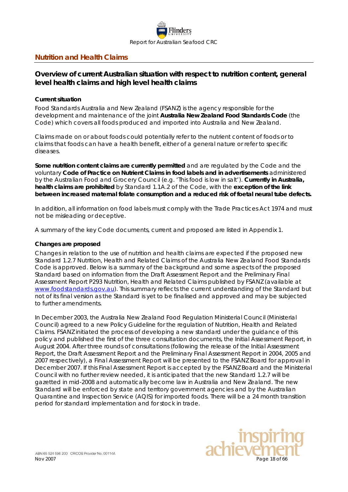

# <span id="page-17-0"></span>**Nutrition and Health Claims**

# <span id="page-17-1"></span>*Overview of current Australian situation with respect to nutrition content, general level health claims and high level health claims*

#### <span id="page-17-2"></span>**Current situation**

Food Standards Australia and New Zealand (FSANZ) is the agency responsible for the development and maintenance of the joint **Australia New Zealand Food Standards Code** (the Code) which covers all foods produced and imported into Australia and New Zealand.

Claims made on or about foods could potentially refer to the nutrient content of foods or to claims that foods can have a health benefit, either of a general nature or refer to specific diseases.

**Some nutrition content claims are currently permitted** and are regulated by the *Code* and the voluntary **Code of Practice on Nutrient Claims in food labels and in advertisements** administered by the Australian Food and Grocery Council (e.g. 'This food is low in salt'). **Currently in Australia, health claims are prohibited** by Standard 1.1A.2 of the *Code*, with the **exception of the link between increased maternal folate consumption and a reduced risk of foetal neural tube defects.** 

In addition, all information on food labels must comply with the *Trade Practices Act 1974* and must not be misleading or deceptive.

<span id="page-17-3"></span>A summary of the key Code documents, current and proposed are listed in Appendix 1.

#### **Changes are proposed**

Changes in relation to the use of nutrition and health claims are expected if the proposed new Standard 1.2.7 Nutrition, Health and Related Claims of the *Australia New Zealand Food Standards Code* is approved. Below is a summary of the background and some aspects of the proposed Standard based on information from the Draft Assessment Report and the Preliminary Final Assessment Report P293 Nutrition, Health and Related Claims published by FSANZ (available at [www.foodstandards.gov.au\)](http://www.foodstandards.gov.au/). This summary reflects the current understanding of the Standard but not of its final version as the Standard is yet to be finalised and approved and may be subjected to further amendments.

In December 2003, the Australia New Zealand Food Regulation Ministerial Council (Ministerial Council) agreed to a new Policy Guideline for the regulation of Nutrition, Health and Related Claims. FSANZ initiated the process of developing a new standard under the guidance of this policy and published the first of the three consultation documents, the Initial Assessment Report, in August 2004. After three rounds of consultations (following the release of the Initial Assessment Report, the Draft Assessment Report and the Preliminary Final Assessment Report in 2004, 2005 and 2007 respectively), a Final Assessment Report will be presented to the FSANZ Board for approval in December 2007. If this Final Assessment Report is accepted by the FSANZ Board and the Ministerial Council with no further review needed, it is anticipated that the new Standard 1.2.7 will be gazetted in mid-2008 and automatically become law in Australia and New Zealand. The new Standard will be enforced by state and territory government agencies and by the Australian Quarantine and Inspection Service (AQIS) for imported foods. There will be a 24 month transition period for standard implementation and for stock in trade.

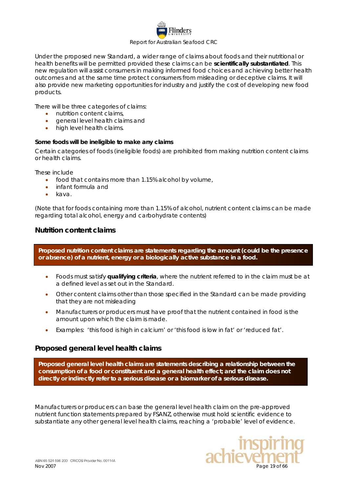# linders Report for Australian Seafood CRC

Under the proposed new Standard, a wider range of claims about foods and their nutritional or health benefits will be permitted provided these claims can be **scientifically substantiated**. This new regulation will assist consumers in making informed food choices and achieving better health outcomes and at the same time protect consumers from misleading or deceptive claims. It will also provide new marketing opportunities for industry and justify the cost of developing new food products.

There will be three categories of claims:

- nutrition content claims,
- general level health claims and
- high level health claims.

### <span id="page-18-0"></span>**Some foods will be ineligible to make any claims**

Certain categories of foods (ineligible foods) are prohibited from making nutrition content claims or health claims.

These include

- food that contains more than 1.15% alcohol by volume,
- infant formula and
- kava.

(Note that for foods containing more than 1.15% of alcohol, nutrient content claims can be made regarding total alcohol, energy and carbohydrate contents)

### <span id="page-18-1"></span>*Nutrition content claims*

**Proposed nutrition content claims are statements regarding the amount (could be the presence or absence) of a nutrient, energy or a biologically active substance in a food.** 

- Foods must satisfy **qualifying criteria**, where the nutrient referred to in the claim must be at a defined level as set out in the Standard.
- Other content claims other than those specified in the Standard can be made providing that they are not misleading
- Manufacturers or producers must have proof that the nutrient contained in food is the amount upon which the claim is made.
- Examples: *'this food is high in calcium'* or *'this food is low in fat'* or *'reduced fat'.*

# <span id="page-18-2"></span>*Proposed general level health claims*

**Proposed general level health claims are statements describing a relationship between the consumption of a food or constituent and a general health effect; and the claim does not directly or indirectly refer to a serious disease or a biomarker of a serious disease.** 

Manufacturers or producers can base the general level health claim on the pre-approved nutrient function statements prepared by FSANZ, otherwise must hold scientific evidence to substantiate any other general level health claims, reaching a 'probable' level of evidence.

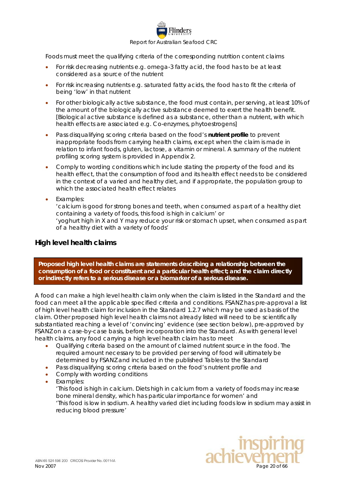

Foods must meet the qualifying criteria of the corresponding nutrition content claims

- For risk decreasing nutrients e.g. omega-3 fatty acid, the food has to be at least considered as a source of the nutrient
- For risk increasing nutrients e.g. saturated fatty acids, the food has to fit the criteria of being 'low' in that nutrient
- For other biologically active substance, the food must contain, per serving, at least 10% of the amount of the biologically active substance deemed to exert the health benefit. [Biological active substance is defined as a substance, other than a nutrient, with which health effects are associated e.g. Co-enzymes, phytoestrogens]
- Pass disqualifying scoring criteria based on the food's **nutrient profile** to prevent inappropriate foods from carrying health claims, except when the claim is made in relation to infant foods, gluten, lactose, a vitamin or mineral. A summary of the nutrient profiling scoring system is provided in Appendix 2.
- Comply to wording conditions which include stating the property of the food and its health effect, that the consumption of food and its health effect needs to be considered in the context of a varied and healthy diet, and if appropriate, the population group to which the associated health effect relates
- Examples:

*'calcium is good for strong bones and teeth, when consumed as part of a healthy diet containing a variety of foods, this food is high in calcium'* or '*yoghurt high in X and Y may reduce your risk or stomach upset, when consumed as part of a healthy diet with a variety of foods'*

### <span id="page-19-0"></span>*High level health claims*

**Proposed high level health claims are statements describing a relationship between the consumption of a food or constituent and a particular health effect; and the claim directly or indirectly refers to a serious disease or a biomarker of a serious disease.** 

A food can make a high level health claim only when the claim is listed in the Standard and the food can meet all the applicable specified criteria and conditions. FSANZ has pre-approval a list of high level health claim for inclusion in the Standard 1.2.7 which may be used as basis of the claim. Other proposed high level health claims not already listed will need to be scientifically substantiated reaching a level of 'convincing' evidence (see section below), pre-approved by FSANZ on a case-by-case basis, before incorporation into the Standard. As with general level health claims, any food carrying a high level health claim has to meet

- Qualifying criteria based on the amount of claimed nutrient source in the food. The required amount necessary to be provided per serving of food will ultimately be determined by FSANZ and included in the published Tables to the Standard
- Pass disqualifying scoring criteria based on the food's nutrient profile and
- Comply with wording conditions
- Examples:

*'This food is high in calcium. Diets high in calcium from a variety of foods may increase bone mineral density, which has particular importance for women' and 'This food is low in sodium. A healthy varied diet including foods low in sodium may assist in reducing blood pressure'*

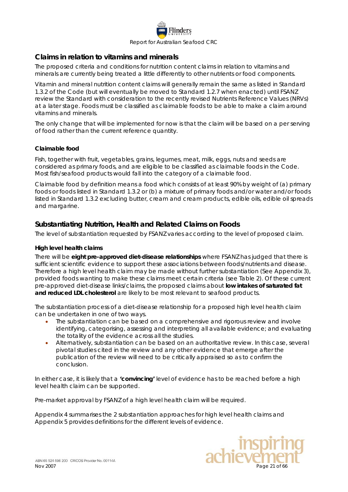

# <span id="page-20-0"></span>*Claims in relation to vitamins and minerals*

The proposed criteria and conditions for nutrition content claims in relation to vitamins and minerals are currently being treated a little differently to other nutrients or food components.

Vitamin and mineral nutrition content claims will generally remain the same as listed in Standard 1.3.2 of the Code (but will eventually be moved to Standard 1.2.7 when enacted) until FSANZ review the Standard with consideration to the recently revised Nutrients Reference Values (NRVs) at a later stage. Foods must be classified as claimable foods to be able to make a claim around vitamins and minerals.

The only change that will be implemented for now is that the claim will be based on a per serving of food rather than the current reference quantity.

#### <span id="page-20-1"></span>**Claimable food**

Fish, together with fruit, vegetables, grains, legumes, meat, milk, eggs, nuts and seeds are considered as primary foods, and are eligible to be classified as claimable foods in the Code. Most fish/seafood products would fall into the category of a claimable food.

Claimable food by definition means a food which consists of at least 90% by weight of (a) primary foods or foods listed in Standard 1.3.2 or (b) a mixture of primary foods and/or water and/or foods listed in Standard 1.3.2 excluding butter, cream and cream products, edible oils, edible oil spreads and margarine.

# <span id="page-20-2"></span>*Substantiating Nutrition, Health and Related Claims on Foods*

<span id="page-20-3"></span>The level of substantiation requested by FSANZ varies according to the level of proposed claim.

#### **High level health claims**

There will be **eight pre-approved diet-disease relationships** where FSANZ has judged that there is sufficient scientific evidence to support these associations between foods/nutrients and disease. Therefore a high level health claim may be made without further substantiation (See Appendix 3), provided foods wanting to make these claims meet certain criteria (see Table 2). Of these current pre-approved diet-disease links/claims, the proposed claims about **low intakes of saturated fat and reduced LDL cholesterol** are likely to be most relevant to seafood products.

The substantiation process of a diet-disease relationship for a proposed high level health claim can be undertaken in one of two ways.

- The substantiation can be based on a comprehensive and rigorous review and involve identifying, categorising, assessing and interpreting all available evidence; and evaluating the totality of the evidence across all the studies.
- Alternatively, substantiation can be based on an authoritative review. In this case, several pivotal studies cited in the review and any other evidence that emerge after the publication of the review will need to be critically appraised so as to confirm the conclusion.

In either case, it is likely that a **'convincing'** level of evidence has to be reached before a high level health claim can be supported.

Pre-market approval by FSANZ of a high level health claim will be required.

Appendix 4 summarises the 2 substantiation approaches for high level health claims and Appendix 5 provides definitions for the different levels of evidence.

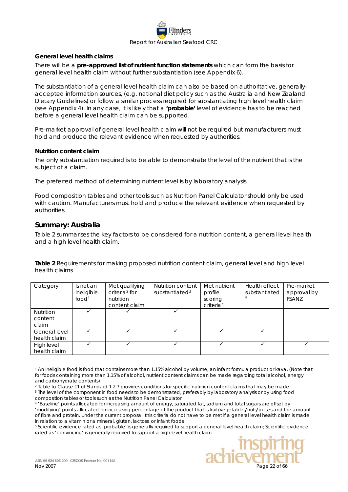

#### <span id="page-21-0"></span>**General level health claims**

There will be a **pre-approved list of nutrient function statements** which can form the basis for general level health claim without further substantiation (see Appendix 6).

The substantiation of a general level health claim can also be based on authoritative, generallyaccepted information sources, (e.g. national diet policy such as the Australia and New Zealand Dietary Guidelines) or follow a similar process required for substantiating high level health claim (see Appendix 4). In any case, it is likely that a **'probable'** level of evidence has to be reached before a general level health claim can be supported.

Pre-market approval of general level health claim will not be required but manufacturers must hold and produce the relevant evidence when requested by authorities.

#### <span id="page-21-1"></span>**Nutrition content claim**

The only substantiation required is to be able to demonstrate the level of the nutrient that is the subject of a claim.

The preferred method of determining nutrient level is by laboratory analysis.

Food composition tables and other tools such as Nutrition Panel Calculator should only be used with caution. Manufacturers must hold and produce the relevant evidence when requested by authorities.

### <span id="page-21-2"></span>*Summary: Australia*

[Table 2](#page-21-4) summarises the key factors to be considered for a nutrition content, a general level health and a high level health claim.

<span id="page-21-4"></span><span id="page-21-3"></span>**Table 2** Requirements for making proposed nutrition content claim, general level and high level health claims

| Category         | Is not an<br>ineligible<br>food <sup>1</sup> | Met qualifying<br>$c$ riteria <sup>2</sup> for<br>nutrition<br>content claim | Nutrition content<br>substantiated <sup>3</sup> | Met nutrient<br>profile<br>scoring<br>criteria <sup>4</sup> | Health effect<br>substantiated | Pre-market<br>approval by<br><b>FSANZ</b> |
|------------------|----------------------------------------------|------------------------------------------------------------------------------|-------------------------------------------------|-------------------------------------------------------------|--------------------------------|-------------------------------------------|
| <b>Nutrition</b> |                                              |                                                                              |                                                 |                                                             |                                |                                           |
| content          |                                              |                                                                              |                                                 |                                                             |                                |                                           |
| claim            |                                              |                                                                              |                                                 |                                                             |                                |                                           |
| General level    |                                              |                                                                              |                                                 |                                                             |                                |                                           |
| health claim     |                                              |                                                                              |                                                 |                                                             |                                |                                           |
| High level       |                                              |                                                                              |                                                 |                                                             |                                |                                           |
| health claim     |                                              |                                                                              |                                                 |                                                             |                                |                                           |

<span id="page-21-5"></span> <sup>1</sup> An ineligible food is food that contains more than 1.15% alcohol by volume, an infant formula product or kava, (Note that for foods containing more than 1.15% of alcohol, nutrient content claims can be made regarding total alcohol, energy and carbohydrate contents)

<span id="page-21-9"></span><sup>5</sup> Scientific evidence rated as 'probable' is generally required to support a general level health claim; Scientific evidence rated as 'convincing' is generally required to support a high level health claim



<span id="page-21-7"></span><span id="page-21-6"></span><sup>&</sup>lt;sup>2</sup> Table to Clause 11 of Standard 1.2.7 provides conditions for specific nutrition content claims that may be made <sup>3</sup> The level of the component in food needs to be demonstrated, preferably by laboratory analysis or by using food composition tables or tools such as the Nutrition Panel Calculator

<span id="page-21-8"></span><sup>4</sup> 'Baseline' points allocated for increasing amount of energy, saturated fat, sodium and total sugars are offset by 'modifying' points allocated for increasing percentage of the product that is fruit/vegetables/nuts/pulses and the amount of fibre and protein. Under the current proposal, this criteria do not have to be met if a general level health claim is made in relation to a vitamin or a mineral, gluten, lactose or infant foods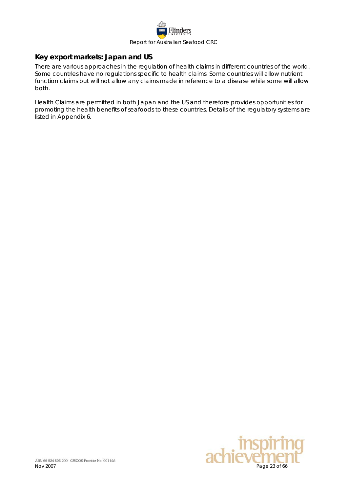

# <span id="page-22-0"></span>*Key export markets: Japan and US*

There are various approaches in the regulation of health claims in different countries of the world. Some countries have no regulations specific to health claims. Some countries will allow nutrient function claims but will not allow any claims made in reference to a disease while some will allow both.

Health Claims are permitted in both Japan and the US and therefore provides opportunities for promoting the health benefits of seafoods to these countries. Details of the regulatory systems are listed in Appendix 6.

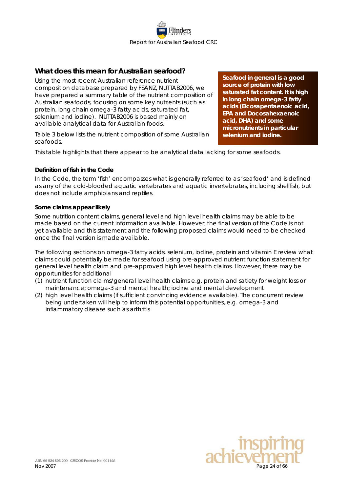

# <span id="page-23-0"></span>*What does this mean for Australian seafood?*

Using the most recent Australian reference nutrient composition database prepared by FSANZ, NUTTAB2006, we have prepared a summary table of the nutrient composition of Australian seafoods, focusing on some key nutrients (such as protein, long chain omega-3 fatty acids, saturated fat, selenium and iodine). NUTTAB2006 is based mainly on available analytical data for Australian foods.

Table 3 below lists the nutrient composition of some Australian seafoods.

**Seafood in general is a good source of protein with low saturated fat content. It is high in long chain omega-3 fatty acids (Eicosapentaenoic acid, EPA and Docosahexaenoic acid, DHA) and some micronutrients in particular selenium and iodine.** 

This table highlights that there appear to be analytical data lacking for some seafoods.

### <span id="page-23-1"></span>**Definition of fish in the Code**

In the Code, the term 'fish' encompasses what is generally referred to as 'seafood' and is defined as any of the cold-blooded aquatic vertebrates and aquatic invertebrates, including shellfish, but does not include amphibians and reptiles.

### <span id="page-23-2"></span>**Some claims appear likely**

Some nutrition content claims, general level and high level health claims may be able to be made based on the current information available. However, the final version of the Code is not yet available and this statement and the following proposed claims would need to be checked once the final version is made available.

The following sections on omega-3 fatty acids, selenium, iodine, protein and vitamin E review what claims could potentially be made for seafood using pre-approved nutrient function statement for general level health claim and pre-approved high level health claims. However, there may be opportunities for additional

- (1) nutrient function claims/general level health claims e.g. protein and satiety for weight loss or maintenance; omega-3 and mental health; iodine and mental development
- (2) high level health claims (if sufficient convincing evidence available). The concurrent review being undertaken will help to inform this potential opportunities, e.g. omega-3 and inflammatory disease such as arthritis

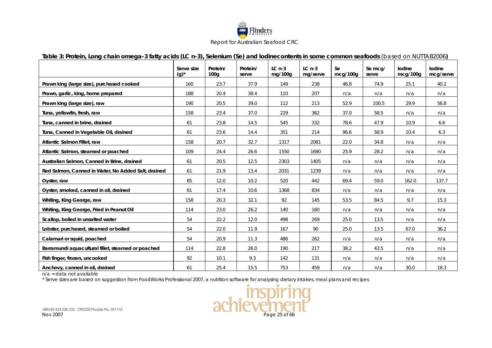

#### **Table 3: Protein, Long chain omega-3 fatty acids (LC n-3), Selenium (Se) and Iodinecontents in some common seafoods** *(based on NUTTAB2006)*

|                                                     | Serve size<br>$(g)^*$ | Protein/<br>100 <sub>q</sub> | Protein/<br>serve | $LCn-3$<br>mg/100g | $LCn-3$<br>mg/serve | Se<br>mcq/100q | Se mcg/<br>serve | lodine<br>mcg/100g | lodine<br>mcg/serve |
|-----------------------------------------------------|-----------------------|------------------------------|-------------------|--------------------|---------------------|----------------|------------------|--------------------|---------------------|
| Prawn king (large size), purchased cooked           | 160                   | 23.7                         | 37.9              | 149                | 238                 | 46.8           | 74.9             | 25.1               | 40.2                |
| Prawn, garlic, king, home prepared                  | 188                   | 20.4                         | 38.4              | 110                | 207                 | n/a            | n/a              | n/a                | n/a                 |
| Prawn king (large size), raw                        | 190                   | 20.5                         | 39.0              | 112                | 213                 | 52.9           | 100.5            | 29.9               | 56.8                |
| Tuna, yellowfin, fresh, raw                         | 158                   | 23.4                         | 37.0              | 229                | 362                 | 37.0           | 58.5             | n/a                | n/a                 |
| Tuna, canned in brine, drained                      | 61                    | 23.8                         | 14.5              | 545                | 332                 | 78.6           | 47.9             | 10.9               | 6.6                 |
| Tuna, Canned in Vegetable Oil, drained              | 61                    | 23.6                         | 14.4              | 351                | 214                 | 96.6           | 58.9             | 10.4               | 6.3                 |
| Atlantic Salmon Fillet, raw                         | 158                   | 20.7                         | 32.7              | 1317               | 2081                | 22.0           | 34.8             | n/a                | n/a                 |
| Atlantic Salmon, steamed or poached                 | 109                   | 24.4                         | 26.6              | 1550               | 1690                | 25.9           | 28.2             | n/a                | n/a                 |
| Australian Salmon, Canned in Brine, drained         | 61                    | 20.5                         | 12.5              | 2303               | 1405                | n/a            | n/a              | n/a                | n/a                 |
| Red Salmon, Canned in Water, No Added Salt, drained | 61                    | 21.9                         | 13.4              | 2031               | 1239                | n/a            | n/a              | n/a                | n/a                 |
| Oyster, raw                                         | 85                    | 12.0                         | 10.2              | 520                | 442                 | 69.4           | 59.0             | 162.0              | 137.7               |
| Oyster, smoked, canned in oil, drained              | 61                    | 17.4                         | 10.6              | 1368               | 834                 | n/a            | n/a              | n/a                | n/a                 |
| Whiting, King George, raw                           | 158                   | 20.3                         | 32.1              | 92                 | 145                 | 53.5           | 84.5             | 9.7                | 15.3                |
| Whiting, King George, Fried in Peanut Oil           | 114                   | 23.0                         | 26.2              | 140                | 160                 | n/a            | n/a              | n/a                | n/a                 |
| Scallop, boiled in unsalted water                   | 54                    | 22.2                         | 12.0              | 498                | 269                 | 25.0           | 13.5             | n/a                | n/a                 |
| Lobster, purchased, steamed or boiled               | 54                    | 22.0                         | 11.9              | 167                | 90                  | 25.0           | 13.5             | 67.0               | 36.2                |
| Calamari or squid, poached                          | 54                    | 20.9                         | 11.3              | 486                | 262                 | n/a            | n/a              | n/a                | n/a                 |
| Barramundi aquacultural fillet, steamed or poached  | 114                   | 22.8                         | 26.0              | 190                | 217                 | 38.2           | 43.5             | n/a                | n/a                 |
| Fish finger, frozen, uncooked                       | 92                    | 10.1                         | 9.3               | 142                | 131                 | n/a            | n/a              | n/a                | n/a                 |
| Anchovy, canned in oil, drained                     | 61                    | 25.4                         | 15.5              | 753                | 459                 | n/a            | n/a              | 30.0               | 18.3                |

<span id="page-24-1"></span><span id="page-24-0"></span>n/a = data not available

\* Serve sizes are based on suggestion from FoodWorks Professional 2007, a nutrition software for analysing dietary intakes, meal plans and recipes

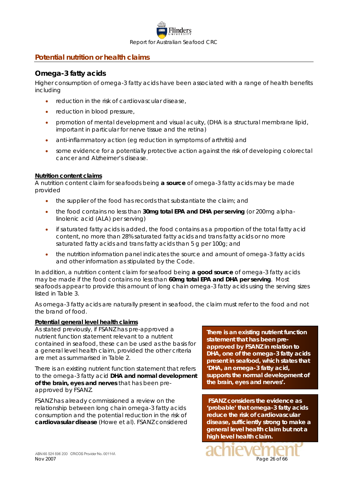

# <span id="page-25-0"></span>**Potential nutrition or health claims**

## <span id="page-25-1"></span>*Omega-3 fatty acids*

Higher consumption of omega-3 fatty acids have been associated with a range of health benefits including

- reduction in the risk of cardiovascular disease,
- reduction in blood pressure,
- promotion of mental development and visual acuity, (DHA is a structural membrane lipid, important in particular for nerve tissue and the retina)
- anti-inflammatory action (eg reduction in symptoms of arthritis) and
- some evidence for a potentially protective action against the risk of developing colorectal cancer and Alzheimer's disease.

#### **Nutrition content claims**

A nutrition content claim for seafoods being **a source** of omega-3 fatty acids may be made provided

- the supplier of the food has records that substantiate the claim; and
- the food contains no less than **30mg total EPA and DHA per serving** (or 200mg alphalinolenic acid (ALA) per serving)
- if saturated fatty acids is added, the food contains as a proportion of the total fatty acid content, no more than 28% saturated fatty acids and trans fatty acids or no more saturated fatty acids and trans fatty acids than 5 g per 100g; and
- the nutrition information panel indicates the source and amount of omega-3 fatty acids and other information as stipulated by the Code.

In addition, a nutrition content claim for seafood being **a good source** of omega-3 fatty acids may be made if the food contains no less than **60mg total EPA and DHA per serving**. Most seafoods appear to provide this amount of long chain omega-3 fatty acids using the serving sizes listed in [Table 3.](#page-24-1)

As omega-3 fatty acids are naturally present in seafood, the claim must refer to the food and not the brand of food.

#### **Potential general level health claims**

As stated previously, if FSANZ has pre-approved a nutrient function statement relevant to a nutrient contained in seafood, these can be used as the basis for a general level health claim, provided the other criteria are met as summarised in [Table 2.](#page-21-4)

There is an existing nutrient function statement that refers to the omega-3 fatty acid **DHA and normal development of the brain, eyes and nerves** that has been preapproved by FSANZ.

FSANZ has already commissioned a review on the relationship between long chain omega-3 fatty acids consumption and the potential reduction in the risk of **cardiovasular disease** (Howe et al). FSANZ considered

**There is an existing nutrient function statement that has been preapproved by FSANZ in relation to DHA, one of the omega-3 fatty acids present in seafood, which states that 'DHA, an omega-3 fatty acid, supports the normal development of the brain, eyes and nerves'.**

**FSANZ considers the evidence as 'probable' that omega-3 fatty acids reduce the risk of cardiovascular disease, sufficiently strong to make a general level health claim but not a high level health claim.**

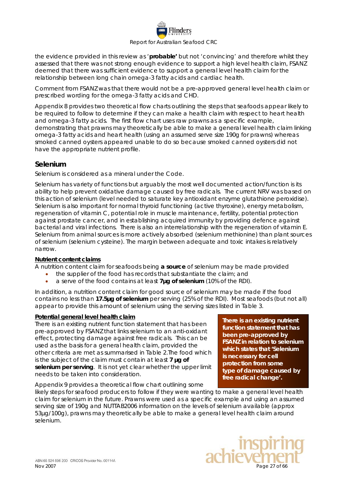

the evidence provided in this review as '**probable'** but not 'convincing' and therefore whilst they assessed that there was not strong enough evidence to support a high level health claim, FSANZ deemed that there was sufficient evidence to support a general level health claim for the relationship between long chain omega-3 fatty acids and cardiac health.

Comment from FSANZ was that there would not be a pre-approved general level health claim or prescribed wording for the omega-3 fatty acids and CHD.

Appendix 8 provides two theoretical flow charts outlining the steps that seafoods appear likely to be required to follow to determine if they can make a health claim with respect to heart health and omega-3 fatty acids. The first flow chart uses raw prawns as a specific example, demonstrating that prawns may theoretically be able to make a general level health claim linking omega-3 fatty acids and heart health (using an assumed serve size 190g for prawns) whereas smoked canned oysters appeared unable to do so because smoked canned oysters did not have the appropriate nutrient profile.

# <span id="page-26-0"></span>*Selenium*

Selenium is considered as a mineral under the Code.

Selenium has variety of functions but arguably the most well documented action/function is its ability to help prevent oxidative damage caused by free radicals. The current NRV was based on this action of selenium (level needed to saturate key antioxidant enzyme glutathione peroxidise). Selenium is also important for normal thyroid functioning (active thyroxine), energy metabolism, regeneration of vitamin C, potential role in muscle maintenance, fertility, potential protection against prostate cancer, and in establishing acquired immunity by providing defence against bacterial and viral infections. There is also an interrelationship with the regeneration of vitamin E. Selenium from animal sources is more actively absorbed (selenium methionine) than plant sources of selenium (selenium cysteine). The margin between adequate and toxic intakes is relatively narrow.

### **Nutrient content claims**

A nutrition content claim for seafoods being **a source** of selenium may be made provided

- the supplier of the food has records that substantiate the claim; and
- a serve of the food contains at least **7µg of selenium** (10% of the RDI).

In addition, a nutrition content claim for good source of selenium may be made if the food contains no less than **17.5µg of selenium** per serving (25% of the RDI). Most seafoods (but not all) appear to provide this amount of selenium using the serving sizes listed in Table 3.

### **Potential general level health claim**

There is an existing nutrient function statement that has been pre-approved by FSANZ that links selenium to an anti-oxidant effect, protecting damage against free radicals. This can be used as the basis for a general health claim, provided the other criteria are met as summarised in [Table 2.](#page-21-4)The food which is the subject of the claim must contain at least **7 µg of selenium per serving**. It is not yet clear whether the upper limit needs to be taken into consideration.

**There is an existing nutrient function statement that has been pre-approved by FSANZ in relation to selenium which states that** *'Selenium is necessary for cell protection from some type of damage caused by free radical change'.*

Appendix 9 provides a theoretical flow chart outlining some likely steps for seafood producers to follow if they were wanting to make a general level health claim for selenium in the future. Prawns were used as a specific example and using an assumed serving size of 190g and NUTTAB2006 information on the levels of selenium available (approx 53µg/100g), prawns may theoretically be able to make a general level health claim around selenium.

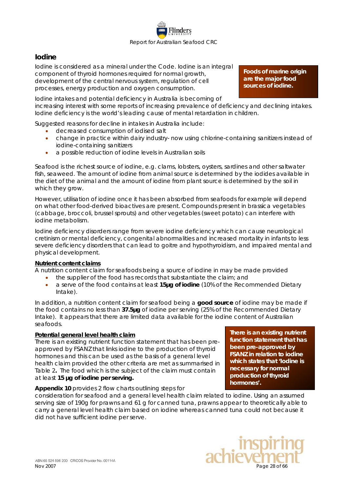

# <span id="page-27-0"></span>*Iodine*

Iodine is considered as a mineral under the Code. Iodine is an integral component of thyroid hormones required for normal growth, development of the central nervous system, regulation of cell processes, energy production and oxygen consumption.

**Foods of marine origin are the major food sources of iodine.** 

Iodine intakes and potential deficiency in Australia is becoming of increasing interest with some reports of increasing prevalence of deficiency and declining intakes. Iodine deficiency is the world's leading cause of mental retardation in children.

Suggested reasons for decline in intakes in Australia include:

- decreased consumption of iodised salt
- change in practice within dairy industry- now using chlorine-containing sanitizers instead of iodine-containing sanitizers
- a possible reduction of iodine levels in Australian soils

Seafood is the richest source of iodine, e.g. clams, lobsters, oysters, sardines and other saltwater fish, seaweed. The amount of iodine from animal source is determined by the iodides available in the diet of the animal and the amount of iodine from plant source is determined by the soil in which they grow.

However, utilisation of iodine once it has been absorbed from seafoods for example will depend on what other food-derived bioactives are present. Compounds present in brassica vegetables (cabbage, broccoli, brussel sprouts) and other vegetables (sweet potato) can interfere with iodine metabolism.

Iodine deficiency disorders range from severe iodine deficiency which can cause neurological cretinism or mental deficiency, congenital abnormalities and increased mortality in infants to less severe deficiency disorders that can lead to goitre and hypothyroidism, and impaired mental and physical development.

### **Nutrient content claims**

A nutrition content claim for seafoods being a source of iodine in may be made provided

- the supplier of the food has records that substantiate the claim; and
- a serve of the food contains at least **15µg of iodine** (10% of the Recommended Dietary Intake).

In addition, a nutrition content claim for seafood being a **good source** of iodine may be made if the food contains no less than **37.5µg** of iodine per serving (25% of the Recommended Dietary Intake). It appears that there are limited data available for the iodine content of Australian seafoods.

#### **Potential general level health claim**

There is an existing nutrient function statement that has been preapproved by FSANZ that links iodine to the production of thyroid hormones and this can be used as the basis of a general level health claim provided the other criteria are met as summarised in [Table 2](#page-21-4)**.** The food which is the subject of the claim must contain at least **15 µg of iodine per serving.**

**There is an existing nutrient function statement that has been pre-approved by FSANZ in relation to iodine which states that** *'Iodine is necessary for normal production of thyroid hormones'.*

### **Appendix 10** provides 2 flow charts outlining steps for

consideration for seafood and a general level health claim related to iodine. Using an assumed serving size of 190g for prawns and 61 g for canned tuna, prawns appear to theoretically able to carry a general level health claim based on iodine whereas canned tuna could not because it did not have sufficient iodine per serve.

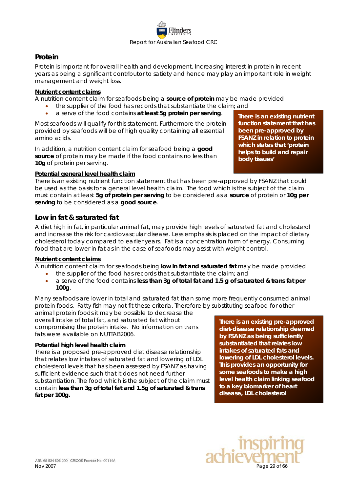

# <span id="page-28-0"></span>*Protein*

Protein is important for overall health and development. Increasing interest in protein in recent years as being a significant contributor to satiety and hence may play an important role in weight management and weight loss.

#### **Nutrient content claims**

A nutrition content claim for seafoods being a **source of protein** may be made provided

- the supplier of the food has records that substantiate the claim; and
- a serve of the food contains **at least 5g protein per serving**.

Most seafoods will qualify for this statement. Furthermore the protein provided by seafoods will be of high quality containing all essential amino acids.

In addition, a nutrition content claim for seafood being a **good source** of protein may be made if the food contains no less than **10g** of protein per serving.

**There is an existing nutrient function statement that has been pre-approved by FSANZ in relation to protein which states that** *'protein helps to build and repair body tissues'*

### **Potential general level health claim**

There is an existing nutrient function statement that has been pre-approved by FSANZ that could be used as the basis for a general level health claim. The food which is the subject of the claim must contain at least **5g of protein per serving** to be considered as a **source** of protein or **10g per serving** to be considered as a **good source**.

### <span id="page-28-1"></span>*Low in fat & saturated fat*

A diet high in fat, in particular animal fat, may provide high levels of saturated fat and cholesterol and increase the risk for cardiovascular disease. Less emphasis is placed on the impact of dietary cholesterol today compared to earlier years. Fat is a concentration form of energy. Consuming food that are lower in fat as in the case of seafoods may assist with weight control.

### **Nutrient content claims**

A nutrition content claim for seafoods being **low in fat and saturated fat** may be made provided

- the supplier of the food has records that substantiate the claim; and
	- a serve of the food contains **less than 3g of total fat and 1.5 g of saturated & trans fat per 100g**.

Many seafoods are lower in total and saturated fat than some more frequently consumed animal protein foods. Fatty fish may not fit these criteria. Therefore by substituting seafood for other

animal protein foods it may be possible to decrease the overall intake of total fat, and saturated fat without compromising the protein intake. No information on trans fats were available on NUTTAB2006.

#### **Potential high level health claim**

There is a proposed pre-approved diet disease relationship that relates low intakes of saturated fat and lowering of LDL cholesterol levels that has been assessed by FSANZ as having sufficient evidence such that it does not need further substantiation. The food which is the subject of the claim must contain **less than 3g of total fat and 1.5g of saturated & trans fat per 100g.**

**There is an existing pre-approved diet-disease relationship deemed by FSANZ as being sufficiently substantiated that relates low intakes of saturated fats and lowering of LDL cholesterol levels. This provides an opportunity for some seafoods to make a high level health claim linking seafood to a key biomarker of heart disease, LDL cholesterol**

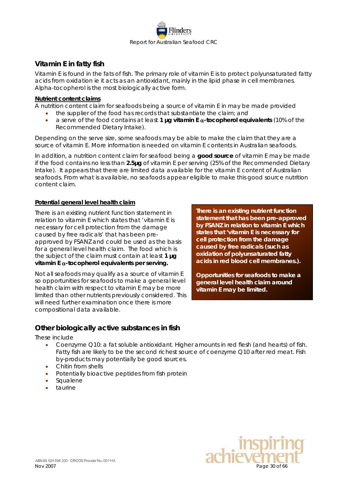

# <span id="page-29-0"></span>*Vitamin E in fatty fish*

Vitamin E is found in the fats of fish. The primary role of vitamin E is to protect polyunsaturated fatty acids from oxidation ie it acts as an antioxidant, mainly in the lipid phase in cell membranes. Alpha-tocopherol is the most biologically active form.

#### **Nutrient content claims**

A nutrition content claim for seafoods being a source of vitamin E in may be made provided

- the supplier of the food has records that substantiate the claim; and
- a serve of the food contains at least **1 µg vitamin E** α**-tocopherol equivalents** (10% of the Recommended Dietary Intake).

Depending on the serve size, some seafoods may be able to make the claim that they are a source of vitamin E. More information is needed on vitamin E contents in Australian seafoods.

In addition, a nutrition content claim for seafood being a **good source** of vitamin E may be made if the food contains no less than **2.5µg** of vitamin E per serving (25% of the Recommended Dietary Intake). It appears that there are limited data available for the vitamin E content of Australian seafoods. From what is available, no seafoods appear eligible to make this good source nutrition content claim.

### **Potential general level health claim**

There is an existing nutrient function statement in relation to vitamin E which states that 'vitamin E is necessary for cell protection from the damage caused by free radicals' that has been preapproved by FSANZ and could be used as the basis for a general level health claim. The food which is the subject of the claim must contain at least **1 µg vitamin E** α**-tocopherol equivalents per serving.**

Not all seafoods may qualify as a source of vitamin E so opportunities for seafoods to make a general level health claim with respect to vitamin E may be more limited than other nutrients previously considered. This will need further examination once there is more compositional data available.

**There is an existing nutrient function statement that has been pre-approved by FSANZ in relation to vitamin E which states that** *'vitamin E is necessary for cell protection from the damage caused by free radicals (such as oxidation of polyunsaturated fatty acids in red blood cell membranes.).* 

**Opportunities for seafoods to make a general level health claim around vitamin E may be limited.**

# <span id="page-29-1"></span>*Other biologically active substances in fish*

These include

- Coenzyme Q10: a fat soluble antioxidant. Higher amounts in red flesh (and hearts) of fish. Fatty fish are likely to be the second richest source of coenzyme Q10 after red meat. Fish by-products may potentially be good sources.
- Chitin from shells
- Potentially bioactive peptides from fish protein
- **Squalene**
- taurine

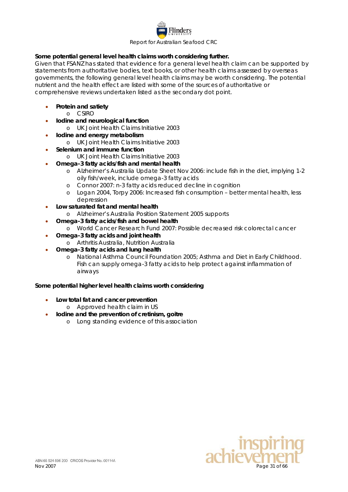

### **Some potential general level health claims worth considering further.**

Given that FSANZ has stated that evidence for a general level health claim can be supported by statements from authoritative bodies, text books, or other health claims assessed by overseas governments, the following general level health claims may be worth considering. The potential nutrient and the health effect are listed with some of the sources of authoritative or comprehensive reviews undertaken listed as the secondary dot point.

- **Protein and satiety**
	- o CSIRO
	- **Iodine and neurological function**
		- o UK Joint Health Claims Initiative 2003
- **Iodine and energy metabolism**
	- o UK Joint Health Claims Initiative 2003
	- **Selenium and immune function**
		- o UK Joint Health Claims Initiative 2003
- **Omega-3 fatty acids/fish and mental health**
	- o Alzheimer's Australia Update Sheet Nov 2006: include fish in the diet, implying 1-2 oily fish/week, include omega-3 fatty acids
	- o Connor 2007: n-3 fatty acids reduced decline in cognition
	- o Logan 2004, Torpy 2006: Increased fish consumption better mental health, less depression
- **Low saturated fat and mental health**
	- o Alzheimer's Australia Position Statement 2005 supports
- **Omega-3 fatty acids/fish and bowel health**
	- o World Cancer Research Fund 2007: Possible decreased risk colorectal cancer
- **Omega-3 fatty acids and joint health**
	- o Arthritis Australia, Nutrition Australia
- **Omega-3 fatty acids and lung health**
	- o National Asthma Council Foundation 2005; Asthma and Diet in Early Childhood. Fish can supply omega-3 fatty acids to help protect against inflammation of airways

#### **Some potential higher level health claims worth considering**

- **Low total fat and cancer prevention** 
	- o Approved health claim in US
	- **Iodine and the prevention of cretinism, goitre**
		- o Long standing evidence of this association

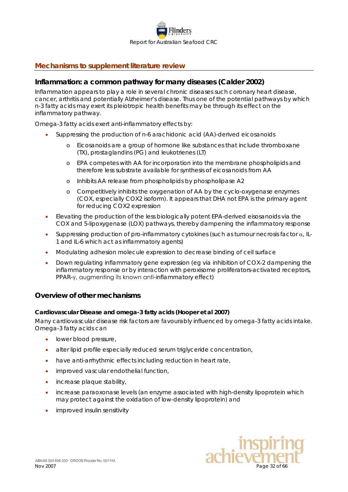

# <span id="page-31-0"></span>**Mechanisms to supplement literature review**

### <span id="page-31-1"></span>*Inflammation: a common pathway for many diseases (Calder 2002)*

Inflammation appears to play a role in several chronic diseases such coronary heart disease, cancer, arthritis and potentially Alzheimer's disease. Thus one of the potential pathways by which n-3 fatty acids may exert its pleiotropic health benefits may be through its effect on the inflammatory pathway.

Omega-3 fatty acids exert anti-inflammatory effects by:

- Suppressing the production of n-6 arachidonic acid (AA)-derived eicosanoids
	- o Eicosanoids are a group of hormone like substances that include thromboxane (TX), prostaglandins (PG) and leukotrienes (LT)
	- o EPA competes with AA for incorporation into the membrane phospholipids and therefore less substrate available for synthesis of eicosanoids from AA
	- o Inhibits AA release from phospholipids by phospholipase A2
	- Competitively inhibits the oxygenation of AA by the cyclo-oxygenase enzymes (COX, especially COX2 isoform). It appears that DHA not EPA is the primary agent for reducing COX2 expression
- Elevating the production of the less biologically potent EPA-derived eisosanoids via the COX and 5-lipoxygenase (LOX) pathways, thereby dampening the inflammatory response
- Suppressing production of pro-inflammatory cytokines (such as tumour necrosis factor α, IL-1 and IL-6 which act as inflammatory agents)
- Modulating adhesion molecule expression to decrease binding of cell surface
- Down regulating inflammatory gene expression (eg via inhibition of COX-2 dampening the inflammatory response or by interaction with peroxisome proliferators-activated receptors, PPAR-γ, augmenting its known anti-inflammatory effect)

### <span id="page-31-2"></span>*Overview of other mechanisms*

#### <span id="page-31-3"></span>**Cardiovascular Disease and omega-3 fatty acids (Hooper et al 2007)**

Many cardiovascular disease risk factors are favourably influenced by omega-3 fatty acids intake. Omega-3 fatty acids can

- lower blood pressure,
- alter lipid profile especially reduced serum triglyceride concentration,
- have anti-arrhythmic effects including reduction in heart rate,
- improved vascular endothelial function,
- increase plaque stability,
- increase paraoxonase levels (an enzyme associated with high-density lipoprotein which may protect against the oxidation of low-density lipoprotein) and
- improved insulin sensitivity

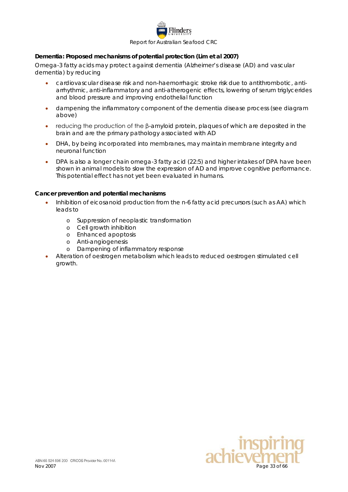

#### <span id="page-32-0"></span>**Dementia: Proposed mechanisms of potential protection (Lim et al 2007)**

Omega-3 fatty acids may protect against dementia (Alzheimer's disease (AD) and vascular dementia) by reducing

- cardiovascular disease risk and non-haemorrhagic stroke risk due to antithrombotic, antiarrhythmic, anti-inflammatory and anti-atherogenic effects, lowering of serum triglycerides and blood pressure and improving endothelial function
- dampening the inflammatory component of the dementia disease process (see diagram above)
- reducing the production of the β-amyloid protein, plaques of which are deposited in the brain and are the primary pathology associated with AD
- DHA, by being incorporated into membranes, may maintain membrane integrity and neuronal function
- DPA is also a longer chain omega-3 fatty acid (22:5) and higher intakes of DPA have been shown in animal models to slow the expression of AD and improve cognitive performance. This potential effect has not yet been evaluated in humans.

#### <span id="page-32-1"></span>**Cancer prevention and potential mechanisms**

- Inhibition of eicosanoid production from the n-6 fatty acid precursors (such as AA) which leads to
	- o Suppression of neoplastic transformation
	- o Cell growth inhibition
	- o Enhanced apoptosis
	- o Anti-angiogenesis
	- o Dampening of inflammatory response
- Alteration of oestrogen metabolism which leads to reduced oestrogen stimulated cell growth.

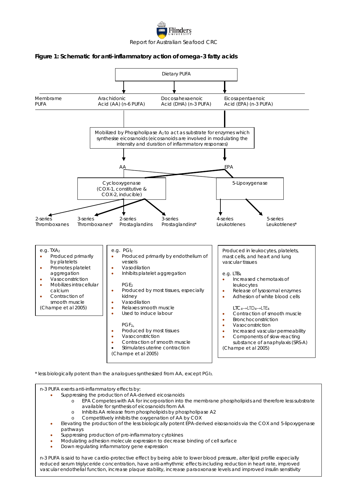

#### <span id="page-33-0"></span>**Figure 1: Schematic for anti-inflammatory action of omega-3 fatty acids**



- available for synthesis of eicosanoids from AA
- o Inhibits AA release from phospholipids by phospholipase A2<br>Competitively inhibits the oxygenation of AA by COX
- Competitively inhibits the oxygenation of AA by COX
- Elevating the production of the less biologically potent EPA-derived eisosanoids via the COX and 5-lipoxygenase pathways
- Suppressing production of pro-inflammatory cytokines
- Modulating adhesion molecule expression to decrease binding of cell surface
- Down regulating inflammatory gene expression

November 34 of 66 of 2007 Page 2007 Page 34 of 66 of 66 of 66 of 66 of 66 of 66 of 66 of 66 of 66 of 66 of 66 o<br>Vascular endothelial function, increase plaque stability, increase paraoxonase levels and improved insulin sen n-3 PUFA is said to have cardio-protective effect by being able to lower blood pressure, alter lipid profile especially reduced serum triglyceride concentration, have anti-arrhythmic effects including reduction in heart rate, improved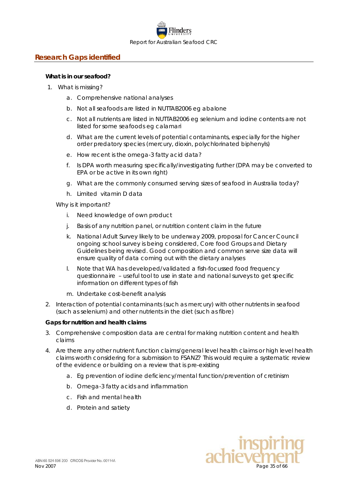

# <span id="page-34-0"></span>**Research Gaps identified**

#### **What is in our seafood?**

- 1. What is missing?
	- a. Comprehensive national analyses
	- b. Not all seafoods are listed in NUTTAB2006 eg abalone
	- c. Not all nutrients are listed in NUTTAB2006 eg selenium and iodine contents are not listed for some seafoods eg calamari
	- d. What are the current levels of potential contaminants, especially for the higher order predatory species (mercury, dioxin, polychlorinated biphenyls)
	- e. How recent is the omega-3 fatty acid data?
	- f. Is DPA worth measuring specifically/investigating further (DPA may be converted to EPA or be active in its own right)
	- g. What are the commonly consumed serving sizes of seafood in Australia today?
	- h. Limited vitamin D data

Why is it important?

- i. Need knowledge of own product
- j. Basis of any nutrition panel, or nutrition content claim in the future
- k. National Adult Survey likely to be underway 2009, proposal for Cancer Council ongoing school survey is being considered, Core food Groups and Dietary Guidelines being revised. Good composition and common serve size data will ensure quality of data coming out with the dietary analyses
- l. Note that WA has developed/validated a fish-focussed food frequency questionnaire – useful tool to use in state and national surveys to get specific information on different types of fish
- m. Undertake cost-benefit analysis
- 2. Interaction of potential contaminants (such as mercury) with other nutrients in seafood (such as selenium) and other nutrients in the diet (such as fibre)

#### **Gaps for nutrition and health claims**

- 3. Comprehensive composition data are central for making nutrition content and health claims
- 4. Are there any other nutrient function claims/general level health claims or high level health claims worth considering for a submission to FSANZ? This would require a systematic review of the evidence or building on a review that is pre-existing
	- a. Eg prevention of iodine deficiency/mental function/prevention of cretinism
	- b. Omega-3 fatty acids and inflammation
	- c. Fish and mental health
	- d. Protein and satiety

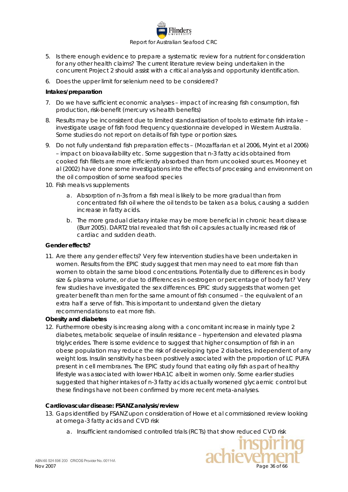

- 5. Is there enough evidence to prepare a systematic review for a nutrient for consideration for any other health claims? The current literature review being undertaken in the concurrent Project 2 should assist with a critical analysis and opportunity identification.
- 6. Does the upper limit for selenium need to be considered?

### **Intakes/preparation**

- 7. Do we have sufficient economic analyses impact of increasing fish consumption, fish production, risk-benefit (mercury vs health benefits)
- 8. Results may be inconsistent due to limited standardisation of tools to estimate fish intake investigate usage of fish food frequency questionnaire developed in Western Australia. Some studies do not report on details of fish type or portion sizes.
- 9. Do not fully understand fish preparation effects (Mozaffarian et al 2006, Myint et al 2006) – impact on bioavailability etc. Some suggestion that n-3 fatty acids obtained from cooked fish fillets are more efficiently absorbed than from uncooked sources. Mooney et al (2002) have done some investigations into the effects of processing and environment on the oil composition of some seafood species
- 10. Fish meals vs supplements
	- a. Absorption of n-3s from a fish meal is likely to be more gradual than from concentrated fish oil where the oil tends to be taken as a bolus, causing a sudden increase in fatty acids.
	- b. The more gradual dietary intake may be more beneficial in chronic heart disease (Burr 2005). DART2 trial revealed that fish oil capsules actually increased risk of cardiac and sudden death.

### **Gender effects?**

11. Are there any gender effects? Very few intervention studies have been undertaken in women. Results from the EPIC study suggest that men may need to eat more fish than women to obtain the same blood concentrations. Potentially due to differences in body size & plasma volume, or due to differences in oestrogen or percentage of body fat? Very few studies have investigated the sex differences. EPIC study suggests that women get greater benefit than men for the same amount of fish consumed – the equivalent of an extra half a serve of fish. This is important to understand given the dietary recommendations to eat more fish.

#### **Obesity and diabetes**

12. Furthermore obesity is increasing along with a concomitant increase in mainly type 2 diabetes, metabolic sequelae of insulin resistance – hypertension and elevated plasma triglycerides. There is some evidence to suggest that higher consumption of fish in an obese population may reduce the risk of developing type 2 diabetes, independent of any weight loss. Insulin sensitivity has been positively associated with the proportion of LC PUFA present in cell membranes. The EPIC study found that eating oily fish as part of healthy lifestyle was associated with lower HbA1C albeit in women only. Some earlier studies suggested that higher intakes of n-3 fatty acids actually worsened glycaemic control but these findings have not been confirmed by more recent meta-analyses.

#### **Cardiovascular disease: FSANZ analysis/review**

- 13. Gaps identified by FSANZ upon consideration of Howe et al commissioned review looking at omega-3 fatty acids and CVD risk
	- a. Insufficient randomised controlled trials (RCTs) that show reduced CVD risk

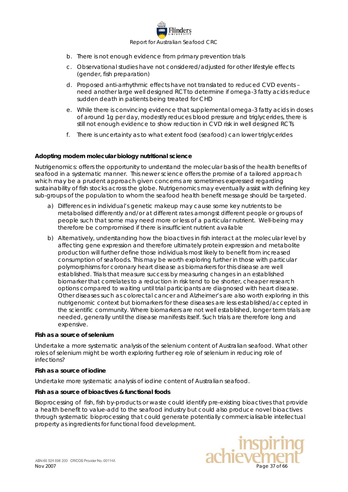

- b. There is not enough evidence from primary prevention trials
- c. Observational studies have not considered/adjusted for other lifestyle effects (gender, fish preparation)
- d. Proposed anti-arrhythmic effects have not translated to reduced CVD events need another large well designed RCT to determine if omega-3 fatty acids reduce sudden death in patients being treated for CHD
- e. While there is convincing evidence that supplemental omega-3 fatty acids in doses of around 1g per day, modestly reduces blood pressure and triglycerides, there is still not enough evidence to show reduction in CVD risk in well designed RCTs
- f. There is uncertainty as to what extent food (seafood) can lower triglycerides

#### **Adopting modern molecular biology nutritional science**

Nutrigenomics: offers the opportunity to understand the molecular basis of the health benefits of seafood in a systematic manner. This newer science offers the promise of a tailored approach which may be a prudent approach given concerns are sometimes expressed regarding sustainability of fish stocks across the globe. Nutrigenomics may eventually assist with defining key sub-groups of the population to whom the seafood health benefit message should be targeted.

- a) Differences in individual's genetic makeup may cause some key nutrients to be metabolised differently and/or at different rates amongst different people or groups of people such that some may need more or less of a particular nutrient. Well-being may therefore be compromised if there is insufficient nutrient available
- b) Alternatively, understanding how the bioactives in fish interact at the molecular level by affecting gene expression and therefore ultimately protein expression and metabolite production will further define those individuals most likely to benefit from increased consumption of seafoods. This may be worth exploring further in those with particular polymorphisms for coronary heart disease as biomarkers for this disease are well established. Trials that measure success by measuring changes in an established biomarker that correlates to a reduction in risk tend to be shorter, cheaper research options compared to waiting until trial participants are diagnosed with heart disease. Other diseases such as colorectal cancer and Alzheimer's are also worth exploring in this nutrigenomic context but biomarkers for these diseases are less established/accepted in the scientific community. Where biomarkers are not well established, longer term trials are needed, generally until the disease manifests itself. Such trials are therefore long and expensive.

#### **Fish as a source of selenium**

Undertake a more systematic analysis of the selenium content of Australian seafood. What other roles of selenium might be worth exploring further eg role of selenium in reducing role of infections?

#### **Fish as a source of iodine**

Undertake more systematic analysis of iodine content of Australian seafood.

#### **Fish as a source of bioactives & functional foods**

Bioprocessing of fish, fish by-products or waste could identify pre-existing bioactives that provide a health benefit to value-add to the seafood industry but could also produce novel bioactives through systematic bioprocessing that could generate potentially commercialisable intellectual property as ingredients for functional food development.

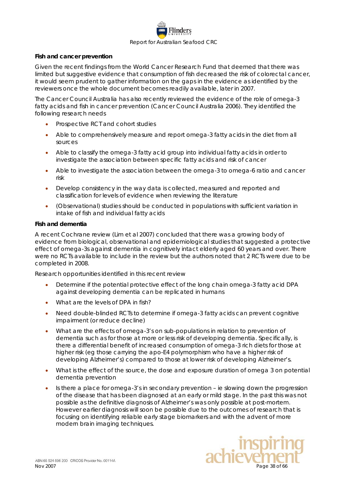

#### **Fish and cancer prevention**

Given the recent findings from the World Cancer Research Fund that deemed that there was limited but suggestive evidence that consumption of fish decreased the risk of colorectal cancer, it would seem prudent to gather information on the gaps in the evidence as identified by the reviewers once the whole document becomes readily available, later in 2007.

The Cancer Council Australia has also recently reviewed the evidence of the role of omega-3 fatty acids and fish in cancer prevention (Cancer Council Australia 2006). They identified the following research needs

- Prospective RCT and cohort studies
- Able to comprehensively measure and report omega-3 fatty acids in the diet from all sources
- Able to classify the omega-3 fatty acid group into individual fatty acids in order to investigate the association between specific fatty acids and risk of cancer
- Able to investigate the association between the omega-3 to omega-6 ratio and cancer risk
- Develop consistency in the way data is collected, measured and reported and classification for levels of evidence when reviewing the literature
- (Observational) studies should be conducted in populations with sufficient variation in intake of fish and individual fatty acids

#### **Fish and dementia**

A recent Cochrane review (Lim et al 2007) concluded that there was a growing body of evidence from biological, observational and epidemiological studies that suggested a protective effect of omega-3s against dementia in cognitively intact elderly aged 60 years and over. There were no RCTs available to include in the review but the authors noted that 2 RCTs were due to be completed in 2008.

Research opportunities identified in this recent review

- Determine if the potential protective effect of the long chain omega-3 fatty acid DPA against developing dementia can be replicated in humans
- What are the levels of DPA in fish?
- Need double-blinded RCTs to determine if omega-3 fatty acids can prevent cognitive impairment (or reduce decline)
- What are the effects of omega-3's on sub-populations in relation to prevention of dementia such as for those at more or less risk of developing dementia. Specifically, is there a differential benefit of increased consumption of omega-3 rich diets for those at higher risk (eg those carrying the apo-E4 polymorphism who have a higher risk of developing Alzheimer's) compared to those at lower risk of developing Alzheimer's.
- What is the effect of the source, the dose and exposure duration of omega 3 on potential dementia prevention
- Is there a place for omega-3's in secondary prevention ie slowing down the progression of the disease that has been diagnosed at an early or mild stage. In the past this was not possible as the definitive diagnosis of Alzheimer's was only possible at post-mortem. However earlier diagnosis will soon be possible due to the outcomes of research that is focusing on identifying reliable early stage biomarkers and with the advent of more modern brain imaging techniques.

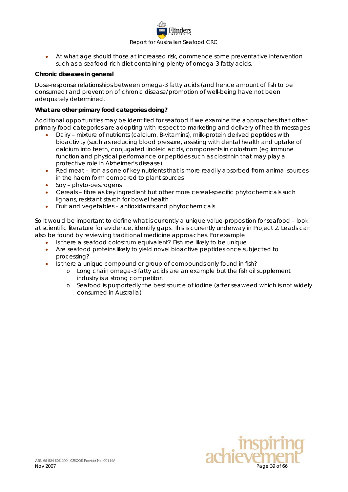

• At what age should those at increased risk, commence some preventative intervention such as a seafood-rich diet containing plenty of omega-3 fatty acids.

#### **Chronic diseases in general**

Dose-response relationships between omega-3 fatty acids (and hence amount of fish to be consumed) and prevention of chronic disease/promotion of well-being have not been adequately determined.

### **What are other primary food categories doing?**

Additional opportunities may be identified for seafood if we examine the approaches that other primary food categories are adopting with respect to marketing and delivery of health messages

- Dairy mixture of nutrients (calcium, B-vitamins), milk-protein derived peptides with bioactivity (such as reducing blood pressure, assisting with dental health and uptake of calcium into teeth, conjugated linoleic acids, components in colostrum (eg immune function and physical performance or peptides such as clostrinin that may play a protective role in Alzheimer's disease)
- Red meat iron as one of key nutrients that is more readily absorbed from animal sources in the haem form compared to plant sources
- Soy phyto-oestrogens
- Cereals fibre as key ingredient but other more cereal-specific phytochemicals such lignans, resistant starch for bowel health
- Fruit and vegetables antioxidants and phytochemicals

So it would be important to define what is currently a unique value-proposition for seafood – look at scientific literature for evidence, identify gaps. This is currently underway in Project 2. Leads can also be found by reviewing traditional medicine approaches. For example

- Is there a seafood colostrum equivalent? Fish roe likely to be unique
- Are seafood proteins likely to yield novel bioactive peptides once subjected to processing?
- Is there a unique compound or group of compounds only found in fish?
	- o Long chain omega-3 fatty acids are an example but the fish oil supplement industry is a strong competitor.
	- o Seafood is purportedly the best source of iodine (after seaweed which is not widely consumed in Australia)

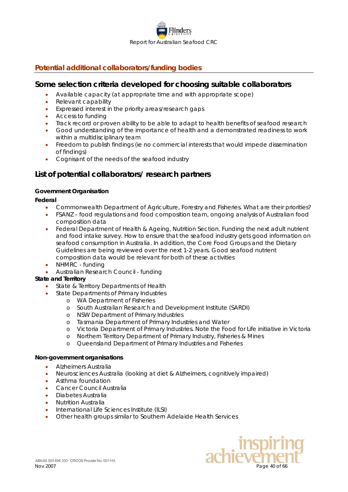

# <span id="page-39-0"></span>**Potential additional collaborators/funding bodies**

# *Some selection criteria developed for choosing suitable collaborators*

- Available capacity (at appropriate time and with appropriate scope)
- Relevant capability
- Expressed interest in the priority areas/research gaps
- Access to funding
- Track record or proven ability to be able to adapt to health benefits of seafood research
- Good understanding of the importance of health and a demonstrated readiness to work within a multidisciplinary team
- Freedom to publish findings (ie no commercial interests that would impede dissemination of findings)
- Cognisant of the needs of the seafood industry

# *List of potential collaborators/ research partners*

### <span id="page-39-1"></span>**Government Organisation**

### *Federal*

- Commonwealth Department of Agriculture, Forestry and Fisheries. *What are their priorities?*
- FSANZ *food regulations and food composition team, ongoing analysis of Australian food composition data*
- Federal Department of Health & Ageing, Nutrition Section. *Funding the next adult nutrient and food intake survey. How to ensure that the seafood industry gets good information on seafood consumption in Australia. In addition, the Core Food Groups and the Dietary Guidelines are being reviewed over the next 1-2 years. Good seafood nutrient composition data would be relevant for both of these activities*
- 
- NHMRC *funding*
- Australian Research Council *funding*

### *State and Territory*

- State & Territory Departments of Health
- State Departments of Primary Industries
	- o WA Department of Fisheries
	- o South Australian Research and Development Institute (SARDI)
	- o NSW Department of Primary Industries
	- o Tasmania Department of Primary Industries and Water
	- o Victoria Department of Primary Industries. Note the Food for Life initiative in Victoria
	- o Northern Territory Department of Primary Industry, Fisheries & Mines
	- o Queensland Department of Primary Industries and Fisheries

#### **Non-government organisations**

- Alzheimers Australia
- Neurosciences Australia (looking at diet & Alzheimers, cognitively impaired)
- Asthma foundation
- Cancer Council Australia
- Diabetes Australia
- Nutrition Australia
- International Life Sciences Institute (ILSI)
- Other health groups similar to Southern Adelaide Health Services

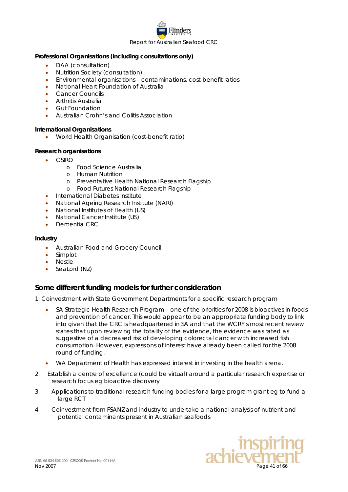

#### <span id="page-40-0"></span>**Professional Organisations (including consultations only)**

- DAA (consultation)
- Nutrition Society (consultation)
- Environmental organisations contaminations, cost-benefit ratios
- National Heart Foundation of Australia
- Cancer Councils
- Arthritis Australia
- **Gut Foundation**
- Australian Crohn's and Colitis Association

### **International Organisations**

• World Health Organisation (cost-benefit ratio)

### **Research organisations**

- CSIRO
	- o Food Science Australia
	- o Human Nutrition
	- o Preventative Health National Research Flagship
	- o Food Futures National Research Flagship
- International Diabetes Institute
- National Ageing Research Institute (NARI)
- National Institutes of Health (US)
- National Cancer Institute (US)
- Dementia CRC

#### <span id="page-40-1"></span>**Industry**

- Australian Food and Grocery Council
- Simplot
- **Nestle**
- SeaLord (NZ)

# *Some different funding models for further consideration*

- 1. Coinvestment with State Government Departments for a specific research program
	- SA Strategic Health Research Program one of the priorities for 2008 is bioactives in foods and prevention of cancer. This would appear to be an appropriate funding body to link into given that the CRC is headquartered in SA and that the WCRF's most recent review states that upon reviewing the totality of the evidence, the evidence was rated as suggestive of a decreased risk of developing colorectal cancer with increased fish consumption. However, expressions of interest have already been called for the 2008 round of funding.
	- WA Department of Health has expressed interest in investing in the health arena.
- 2. Establish a centre of excellence (could be virtual) around a particular research expertise or research focus eg bioactive discovery
- 3. Applications to traditional research funding bodies for a large program grant eg to fund a large RCT
- 4. Coinvestment from FSANZ and industry to undertake a national analysis of nutrient and potential contaminants present in Australian seafoods

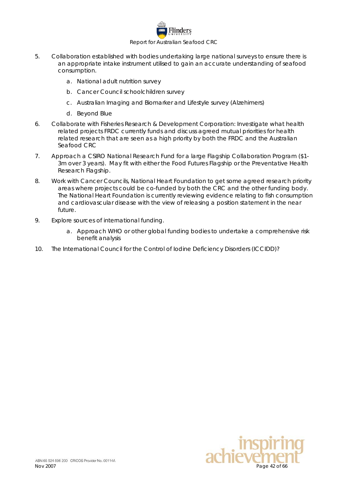

- 5. Collaboration established with bodies undertaking large national surveys to ensure there is an appropriate intake instrument utilised to gain an accurate understanding of seafood consumption.
	- a. National adult nutrition survey
	- b. Cancer Council schoolchildren survey
	- c. Australian Imaging and Biomarker and Lifestyle survey (Alzehimers)
	- d. Beyond Blue
- 6. Collaborate with Fisheries Research & Development Corporation: Investigate what health related projects FRDC currently funds and discuss agreed mutual priorities for health related research that are seen as a high priority by both the FRDC and the Australian Seafood CRC
- 7. Approach a CSIRO National Research Fund for a large Flagship Collaboration Program (\$1- 3m over 3 years). May fit with either the Food Futures Flagship or the Preventative Health Research Flagship.
- 8. Work with Cancer Councils, National Heart Foundation to get some agreed research priority areas where projects could be co-funded by both the CRC and the other funding body. The National Heart Foundation is currently reviewing evidence relating to fish consumption and cardiovascular disease with the view of releasing a position statement in the near future.
- 9. Explore sources of international funding.
	- a. Approach WHO or other global funding bodies to undertake a comprehensive risk benefit analysis
- 10. The International Council for the Control of Iodine Deficiency Disorders (ICCIDD)?

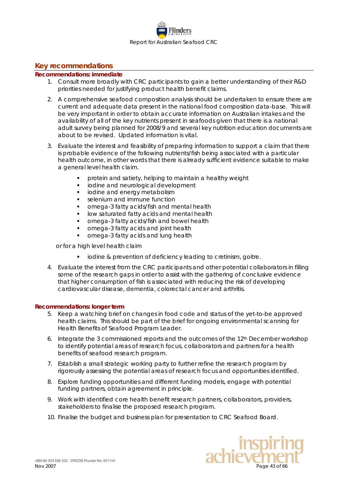

### <span id="page-42-0"></span>**Key recommendations**

#### **Recommendations: immediate**

- 1. Consult more broadly with CRC participants to gain a better understanding of their R&D priorities needed for justifying product health benefit claims.
- 2. A comprehensive seafood composition analysis should be undertaken to ensure there are current and adequate data present in the national food composition data-base. This will be very important in order to obtain accurate information on Australian intakes and the availability of all of the key nutrients present in seafoods given that there is a national adult survey being planned for 2008/9 and several key nutrition education documents are about to be revised. Updated information is vital.
- 3. Evaluate the interest and feasibility of preparing information to support a claim that there is probable evidence of the following nutrients/fish being associated with a particular health outcome, in other words that there is already sufficient evidence suitable to make a general level health claim.
	- protein and satiety, helping to maintain a healthy weight
	- iodine and neurological development
	- iodine and energy metabolism
	- selenium and immune function
	- omega-3 fatty acids/fish and mental health
	- low saturated fatty acids and mental health
	- omega-3 fatty acids/fish and bowel health
	- omega-3 fatty acids and joint health
	- omega-3 fatty acids and lung health

or for a high level health claim

- iodine & prevention of deficiency leading to cretinism, goitre.
- 4. Evaluate the interest from the CRC participants and other potential collaborators in filling some of the research gaps in order to assist with the gathering of conclusive evidence that higher consumption of fish is associated with reducing the risk of developing cardiovascular disease, dementia, colorectal cancer and arthritis.

#### **Recommendations: longer term**

- 5. Keep a watching brief on changes in food code and status of the yet-to-be approved health claims. This should be part of the brief for ongoing environmental scanning for Health Benefits of Seafood Program Leader.
- 6. Integrate the 3 commissioned reports and the outcomes of the 12<sup>th</sup> December workshop to identify potential areas of research focus, collaborators and partners for a health benefits of seafood research program.
- 7. Establish a small strategic working party to further refine the research program by rigorously assessing the potential areas of research focus and opportunities identified.
- 8. Explore funding opportunities and different funding models, engage with potential funding partners, obtain agreement in principle.
- 9. Work with identified core health benefit research partners, collaborators, providers, stakeholders to finalise the proposed research program.
- 10. Finalise the budget and business plan for presentation to CRC Seafood Board.

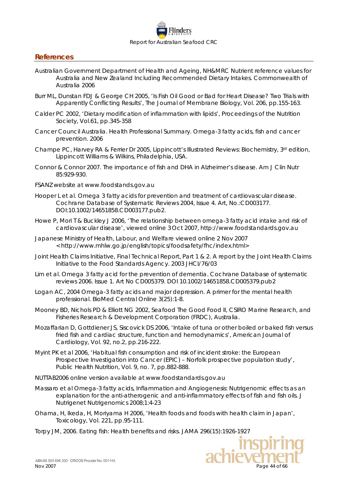

### <span id="page-43-0"></span>**References**

- Australian Government Department of Health and Ageing, NH&MRC Nutrient reference values for Australia and New Zealand Including Recommended Dietary Intakes. Commonwealth of Australia 2006
- Burr ML, Dunstan FDJ & George CH 2005, 'Is Fish Oil Good or Bad for Heart Disease? Two Trials with Apparently Conflicting Results', *The Journal of Membrane Biology*, Vol. 206, pp.155-163.
- Calder PC 2002, 'Dietary modification of inflammation with lipids', *Proceedings of the Nutrition Society*, Vol.61, pp.345-358
- Cancer Council Australia. Health Professional Summary. Omega-3 fatty acids, fish and cancer prevention. 2006
- Champe PC, Harvey RA & Ferrier Dr 2005, *Lippincott's Illustrated Reviews: Biochemistry*, 3<sup>rd</sup> edition, Lippincott Williams & Wilkins, Philadelphia, USA.
- Connor & Connor 2007. The importance of fish and DHA in Alzheimer's disease. Am J Clin Nutr 85:929-930.
- FSANZ website at www.foodstands.gov.au
- Hooper L et al. Omega 3 fatty acids for prevention and treatment of cardiovascular disease. Cochrane Database of Systematic Reviews 2004, Issue 4. Art, No.:CD003177. DOI:10.1002/14651858.CD003177.pub2.
- Howe P, Mori T & Buckley J 2006, 'The relationship between omega-3 fatty acid intake and risk of cardiovascular disease', viewed online 3 Oct 2007, http://www.foodstandards.gov.au
- Japanese Ministry of Health, Labour, and Welfare viewed online 2 Nov 2007 < http://www.mhlw.go.jp/english/topics/foodsafety/fhc/index.html>
- Joint Health Claims Initiative, Final Technical Report, Part 1 & 2. A report by the Joint Health Claims Initiative to the Food Standards Agency. 2003 JHCI/76/03
- Lim et al. Omega 3 fatty acid for the prevention of dementia. Cochrane Database of systematic reviews 2006. Issue 1. Art No CD005379. DOI 10.1002/14651858.CD005379.pub2
- Logan AC, 2004 Omega-3 fatty acids and major depression. A primer for the mental health professional. BioMed Central Online 3(25):1-8.
- Mooney BD, Nichols PD & Elliott NG 2002, *Seafood The Good Food II*, CSIRO Marine Research, and Fisheries Research & Development Corporation (FRDC), Australia.
- Mozaffarian D, Gottdiener JS, Siscovick DS 2006, 'Intake of tuna or other boiled or baked fish versus fried fish and cardiac structure, function and hemodynamics', *American Journal of Cardiology*, Vol. 92, no.2, pp.216-222.
- Myint PK et al 2006, 'Habitual fish consumption and risk of incident stroke: the European Prospective Investigation into Cancer (EPIC) – Norfolk prospective population study', *Public Health Nutrition*, Vol. 9, no. 7, pp.882-888.
- NUTTAB2006 online version available at www.foodstandards.gov.au
- Massaro et al Omega-3 fatty acids, Inflammation and Angiogenesis: Nutrigenomic effects as an explanation for the anti-atherogenic and anti-inflammatory effects of fish and fish oils. J Nutrigenet Nutrigenomics 2008;1:4-23
- Ohama, H, Ikeda, H, Moriyama H 2006, 'Health foods and foods with health claim in Japan', *Toxicology*, Vol. 221, pp.95-111.
- Torpy JM, 2006. Eating fish: Health benefits and risks. JAMA 296(15):1926-1927

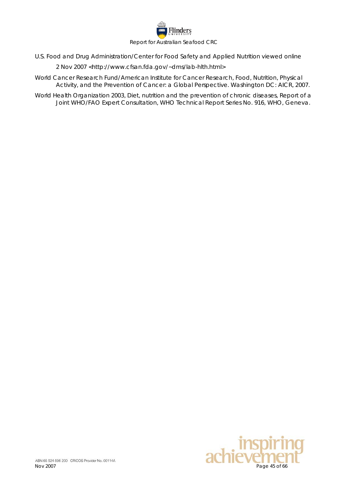

U.S. Food and Drug Administration/Center for Food Safety and Applied Nutrition viewed online

2 Nov 2007 <http://www.cfsan.fda.gov/~dms/lab-hlth.html>

- World Cancer Research Fund/American Institute for Cancer Research, Food, Nutrition, Physical Activity, and the Prevention of Cancer: a Global Perspective. Washington DC: AICR, 2007.
- World Health Organization 2003, *Diet, nutrition and the prevention of chronic diseases*, Report of a Joint WHO/FAO Expert Consultation, WHO Technical Report Series No. 916, WHO, Geneva.

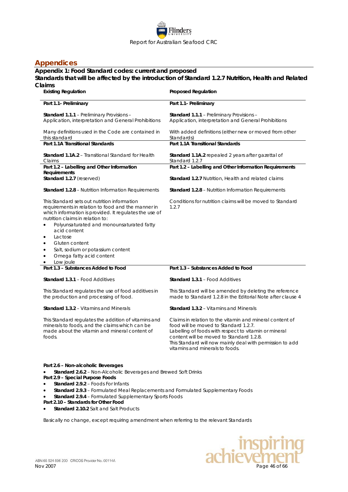

# <span id="page-45-0"></span>**Appendices**

### <span id="page-45-1"></span>**Appendix 1: Food Standard codes: current and proposed**

### **Standards that will be affected by the introduction of Standard 1.2.7 Nutrition, Health and Related Claims**

| allis<br><b>Existing Regulation</b>                                                                                                                                                                                                                                                                                                                                                                                          | <b>Proposed Regulation</b>                                                                                                                                                                                                                                                                             |  |  |  |  |  |
|------------------------------------------------------------------------------------------------------------------------------------------------------------------------------------------------------------------------------------------------------------------------------------------------------------------------------------------------------------------------------------------------------------------------------|--------------------------------------------------------------------------------------------------------------------------------------------------------------------------------------------------------------------------------------------------------------------------------------------------------|--|--|--|--|--|
| Part 1.1- Preliminary                                                                                                                                                                                                                                                                                                                                                                                                        | Part 1.1- Preliminary                                                                                                                                                                                                                                                                                  |  |  |  |  |  |
| Standard 1.1.1 - Preliminary Provisions -<br>Application, interpretation and General Prohibitions                                                                                                                                                                                                                                                                                                                            | Standard 1.1.1 - Preliminary Provisions -<br>Application, interpretation and General Prohibitions                                                                                                                                                                                                      |  |  |  |  |  |
| Many definitions used in the Code are contained in<br>this standard                                                                                                                                                                                                                                                                                                                                                          | With added definitions (either new or moved from other<br>Standards)                                                                                                                                                                                                                                   |  |  |  |  |  |
| Part 1.1A Transitional Standards                                                                                                                                                                                                                                                                                                                                                                                             | Part 1.1A Transitional Standards                                                                                                                                                                                                                                                                       |  |  |  |  |  |
| Standard 1.1A.2 - Transitional Standard for Health<br>Claims                                                                                                                                                                                                                                                                                                                                                                 | <b>Standard 1.1A.2</b> repealed 2 years after gazettal of<br>Standard 1.2.7                                                                                                                                                                                                                            |  |  |  |  |  |
| Part 1.2 - Labelling and Other Information                                                                                                                                                                                                                                                                                                                                                                                   | Part 1.2 - Labelling and Other Information Requirements                                                                                                                                                                                                                                                |  |  |  |  |  |
| Requirements<br>Standard 1.2.7 (reserved)                                                                                                                                                                                                                                                                                                                                                                                    | <b>Standard 1.2.7 Nutrition. Health and related claims</b>                                                                                                                                                                                                                                             |  |  |  |  |  |
| <b>Standard 1.2.8 - Nutrition Information Requirements</b>                                                                                                                                                                                                                                                                                                                                                                   | <b>Standard 1.2.8</b> – Nutrition Information Requirements                                                                                                                                                                                                                                             |  |  |  |  |  |
| This Standard sets out nutrition information<br>requirements in relation to food and the manner in<br>which information is provided. It regulates the use of<br>nutrition claims in relation to:<br>Polyunsaturated and monounsaturated fatty<br>acid content<br>Lactose<br>Gluten content<br>$\bullet$<br>Salt, sodium or potassium content<br>$\bullet$<br>Omega fatty acid content<br>$\bullet$<br>Low joule<br>$\bullet$ | Conditions for nutrition claims will be moved to Standard<br>1.2.7                                                                                                                                                                                                                                     |  |  |  |  |  |
| Part 1.3 - Substances Added to Food                                                                                                                                                                                                                                                                                                                                                                                          | Part 1.3 - Substances Added to Food                                                                                                                                                                                                                                                                    |  |  |  |  |  |
| <b>Standard 1.3.1 - Food Additives</b>                                                                                                                                                                                                                                                                                                                                                                                       | Standard 1.3.1 - Food Additives                                                                                                                                                                                                                                                                        |  |  |  |  |  |
| This Standard regulates the use of food additives in<br>the production and processing of food.                                                                                                                                                                                                                                                                                                                               | This Standard will be amended by deleting the reference<br>made to Standard 1.2.8 in the Editorial Note after clause 4                                                                                                                                                                                 |  |  |  |  |  |
| <b>Standard 1.3.2 - Vitamins and Minerals</b>                                                                                                                                                                                                                                                                                                                                                                                | <b>Standard 1.3.2 - Vitamins and Minerals</b>                                                                                                                                                                                                                                                          |  |  |  |  |  |
| This Standard regulates the addition of vitamins and<br>minerals to foods, and the claims which can be<br>made about the vitamin and mineral content of<br>foods.                                                                                                                                                                                                                                                            | Claims in relation to the vitamin and mineral content of<br>food will be moved to Standard 1.2.7.<br>Labelling of foods with respect to vitamin or mineral<br>content will be moved to Standard 1.2.8.<br>This Standard will now mainly deal with permission to add<br>vitamins and minerals to foods. |  |  |  |  |  |
| Part 2.6 - Non-alcoholic Beverages<br>Standard 2.6.2 - Non-Alcoholic Beverages and Brewed Soft Drinks                                                                                                                                                                                                                                                                                                                        |                                                                                                                                                                                                                                                                                                        |  |  |  |  |  |

**Part 2.9 – Special Purpose Foods**

- **Standard 2.9.2** Foods For Infants
- **Standard 2.9.3** Formulated Meal Replacements and Formulated Supplementary Foods
- **Standard 2.9.4** Formulated Supplementary Sports Foods
- **Part 2.10 – Standards for Other Food**
- **Standard 2.10.2** Salt and Salt Products

Basically no change, except requiring amendment when referring to the relevant Standards

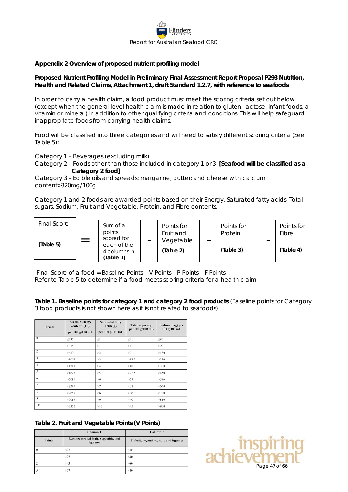

#### <span id="page-46-0"></span>**Appendix 2 Overview of proposed nutrient profiling model**

### **Proposed Nutrient Profiling Model in Preliminary Final Assessment Report Proposal P293 Nutrition, Health and Related Claims, Attachment 1, draft Standard 1.2.7, with reference to seafoods**

In order to carry a health claim, a food product must meet the scoring criteria set out below (except when the general level health claim is made in relation to gluten, lactose, infant foods, a vitamin or mineral) in addition to other qualifying criteria and conditions. This will help safeguard inappropriate foods from carrying health claims.

Food will be classified into three categories and will need to satisfy different scoring criteria (See Table 5):

Category 1 – Beverages (excluding milk)

Category 2 – Foods other than those included in category 1 or 3 **[Seafood will be classified as a Category 2 food]**

Category 3 – Edible oils and spreads; margarine; butter; and cheese with calcium content>320mg/100g

Category 1 and 2 foods are awarded points based on their Energy, Saturated fatty acids, Total sugars, Sodium, Fruit and Vegetable, Protein, and Fibre contents.



Final Score of a food = Baseline Points – V Points – P Points – F Points Refer to Table 5 to determine if a food meets scoring criteria for a health claim

**Table 1. Baseline points for category 1 and category 2 food products** (Baseline points for Category 3 food products is not shown here as it is not related to seafoods)

| <b>Points</b>     | Average energy<br>content (kJ)<br>per 100 g/100 mL | Saturated fatty<br>acids(g)<br>per 100 g/100 mL | Total sugars (g)<br>per 100 g/100 mL | Sodium (mg) per<br>100 g/100 mL |
|-------------------|----------------------------------------------------|-------------------------------------------------|--------------------------------------|---------------------------------|
| 0                 | $<$ 335                                            | $\leq$                                          | $\leq 4.5$                           | $\leq 90$                       |
|                   | >335                                               | >1                                              | >4.5                                 | >90                             |
| $\overline{c}$    | >670                                               | >2                                              | > 9                                  | >180                            |
| 3                 | >1005                                              | >3                                              | >13.5                                | >270                            |
| $\overline{4}$    | >1340                                              | >4                                              | >18                                  | >360                            |
| 5                 | >1675                                              | >5                                              | >22.5                                | >450                            |
| 6                 | >2010                                              | >6                                              | >27                                  | >540                            |
| $\overline{\tau}$ | >2345                                              | >7                                              | >31                                  | >630                            |
| 8                 | >2680                                              | >8                                              | >36                                  | >720                            |
| $\overline{Q}$    | >3015                                              | > 9                                             | >40                                  | >810                            |
| 10                | >3350                                              | >10                                             | >45                                  | >900                            |

#### **Table 2. Fruit and Vegetable Points (V Points)**

|                | Column <sub>1</sub>                             | Column <sub>2</sub>                   |               |
|----------------|-------------------------------------------------|---------------------------------------|---------------|
| <b>Points</b>  | % concentrated fruit, vegetable, and<br>legumes | % fruit, vegetables, nuts and legumes |               |
| $\theta$       | -25                                             | $\leq 40$                             |               |
|                | >25                                             | >40                                   |               |
| $\overline{2}$ | $\geq 43$                                       | >60                                   | Page 47 of 66 |
|                | $\geq 67$                                       | >80                                   |               |

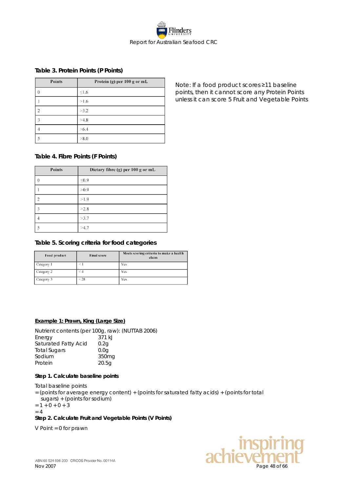

#### **Table 3. Protein Points (P Points)**

| Points   | Protein (g) per 100 g or mL |
|----------|-----------------------------|
| $\theta$ | $\leq1.6$                   |
|          | >1.6                        |
|          | >3.2                        |
| 3        | >4.8                        |
|          | >6.4                        |
| 5        | > 8.0                       |

**Table 4. Fibre Points (F Points)**

| <b>Points</b> | Dietary fibre (g) per 100 g or mL |
|---------------|-----------------------------------|
| $\Omega$      | < 0.9                             |
|               | >0.9                              |
|               | >1.9                              |
| 3             | >2.8                              |
|               | >3.7                              |
|               | >4.7                              |

#### **Table 5. Scoring criteria for food categories**

| Food product | <b>Final score</b> | Meets scoring criteria to make a health<br>claim |
|--------------|--------------------|--------------------------------------------------|
| Category 1   | $\leq 1$           | Yes                                              |
| Category 2   | $\leq 4$           | Yes                                              |
| Category 3   | < 28               | Yes                                              |

#### **Example 1: Prawn, King (Large Size)**

Nutrient contents (per 100g, raw): (NUTTAB 2006) Energy 371 kJ<br>Saturated Fatty Acid 0.2g Saturated Fatty Acid Total Sugars 0.0g<br>Sodium 350mg Sodium 350mg Protein 20.5g

#### **Step 1. Calculate baseline points**

Total baseline points

- = (points for average energy content) + (points for saturated fatty acids) + (points for total
- sugars) + (points for sodium)

 $= 1 + 0 + 0 + 3$  $= 4$ 

#### **Step 2. Calculate Fruit and Vegetable Points (V Points)**

V Point = 0 for prawn



Note: If a food product scores ≥11 baseline points, then it cannot score any Protein Points unless it can score 5 Fruit and Vegetable Points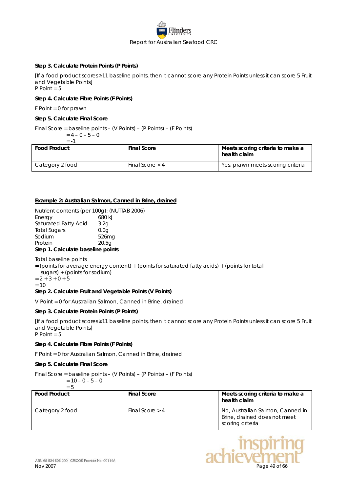

#### **Step 3. Calculate Protein Points (P Points)**

[If a food product scores ≥11 baseline points, then it cannot score any Protein Points unless it can score 5 Fruit and Vegetable Points] P Point = 5

#### **Step 4. Calculate Fibre Points (F Points)**

F Point = 0 for prawn

#### **Step 5. Calculate Final Score**

Final Score = baseline points – (V Points) – (P Points) – (F Points)<br>=  $4 - 0 - 5 - 0$ 

$$
= 4 - 0 - 5 - 0
$$
  
= -1

| <b>Food Product</b> | <b>Final Score</b> | Meets scoring criteria to make a<br>health claim |
|---------------------|--------------------|--------------------------------------------------|
| Category 2 food     | Final Score $<$ 4  | Yes, prawn meets scoring criteria                |

#### **Example 2: Australian Salmon, Canned in Brine, drained**

Nutrient contents (per 100g): (NUTTAB 2006) Energy 680 kJ Saturated Fatty Acid 3.2g Total Sugars 0.0g Sodium 526mg<br>Protein 20.5a Protein 20.5g

#### **Step 1. Calculate baseline points**

Total baseline points

= (points for average energy content) + (points for saturated fatty acids) + (points for total

sugars) + (points for sodium)

 $= 2 + 3 + 0 + 5$  $= 10$ 

#### **Step 2. Calculate Fruit and Vegetable Points (V Points)**

V Point = 0 for Australian Salmon, Canned in Brine, drained

#### **Step 3. Calculate Protein Points (P Points)**

[If a food product scores ≥11 baseline points, then it cannot score any Protein Points unless it can score 5 Fruit and Vegetable Points] P Point = 5

#### **Step 4. Calculate Fibre Points (F Points)**

F Point = 0 for Australian Salmon, Canned in Brine, drained

#### **Step 5. Calculate Final Score**

Final Score = baseline points – (V Points) – (P Points) – (F Points)  $= 10 - 0 - 5 - 0$ 

$$
= 10 - 0 = 3 - 0
$$
  
= 5

| <b>Food Product</b> | <b>Final Score</b> | Meets scoring criteria to make a<br>health claim                                     |
|---------------------|--------------------|--------------------------------------------------------------------------------------|
| Category 2 food     | Final Score $> 4$  | No, Australian Salmon, Canned in<br>Brine, drained does not meet<br>scoring criteria |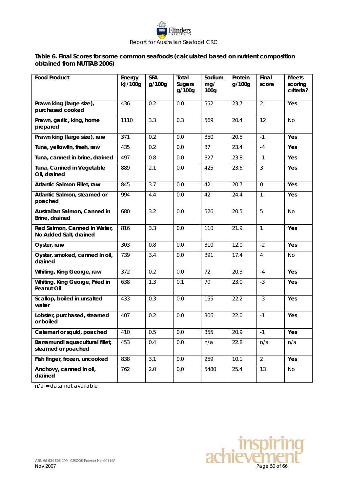

### **Table 6. Final Scores for some common seafoods (calculated based on nutrient composition obtained from NUTTAB 2006)**

| <b>Food Product</b>                                    | Energy<br>kJ/100g | <b>SFA</b><br>g/100g | Total<br><b>Sugars</b><br>g/100g | Sodium<br>mg/<br>100 <sub>g</sub> | Protein<br>g/100g | Final<br>score | <b>Meets</b><br>scoring<br>criteria? |
|--------------------------------------------------------|-------------------|----------------------|----------------------------------|-----------------------------------|-------------------|----------------|--------------------------------------|
| Prawn king (large size),<br>purchased cooked           | 436               | 0.2                  | 0.0                              | 552                               | 23.7              | $\overline{2}$ | Yes                                  |
| Prawn, garlic, king, home<br>prepared                  | 1110              | 3.3                  | 0.3                              | 569                               | 20.4              | 12             | <b>No</b>                            |
| Prawn king (large size), raw                           | $\overline{371}$  | 0.2                  | 0.0                              | 350                               | 20.5              | $-1$           | Yes                                  |
| Tuna, yellowfin, fresh, raw                            | 435               | 0.2                  | 0.0                              | 37                                | 23.4              | $-4$           | Yes                                  |
| Tuna, canned in brine, drained                         | 497               | 0.8                  | 0.0                              | 327                               | 23.8              | $-1$           | Yes                                  |
| Tuna, Canned in Vegetable<br>Oil, drained              | 889               | 2.1                  | 0.0                              | 425                               | 23.6              | 3              | Yes                                  |
| Atlantic Salmon Fillet, raw                            | 845               | 3.7                  | 0.0                              | 42                                | 20.7              | $\Omega$       | Yes                                  |
| Atlantic Salmon, steamed or<br>poached                 | 994               | 4.4                  | 0.0                              | 42                                | 24.4              | $\mathbf{1}$   | Yes                                  |
| Australian Salmon, Canned in<br>Brine, drained         | 680               | 3.2                  | 0.0                              | 526                               | 20.5              | 5              | <b>No</b>                            |
| Red Salmon, Canned in Water,<br>No Added Salt, drained | 816               | 3.3                  | 0.0                              | 110                               | 21.9              | $\mathbf{1}$   | Yes                                  |
| Oyster, raw                                            | 303               | 0.8                  | 0.0                              | 310                               | 12.0              | $-2$           | Yes                                  |
| Oyster, smoked, canned in oil,<br>drained              | 739               | 3.4                  | 0.0                              | 391                               | 17.4              | $\overline{4}$ | No                                   |
| Whiting, King George, raw                              | 372               | 0.2                  | 0.0                              | 72                                | 20.3              | $-4$           | Yes                                  |
| Whiting, King George, Fried in<br><b>Peanut Oil</b>    | 638               | 1.3                  | 0.1                              | 70                                | 23.0              | $-3$           | Yes                                  |
| Scallop, boiled in unsalted<br>water                   | 433               | 0.3                  | 0.0                              | 155                               | 22.2              | $-3$           | Yes                                  |
| Lobster, purchased, steamed<br>or boiled               | 407               | 0.2                  | 0.0                              | 306                               | 22.0              | $-1$           | Yes                                  |
| Calamari or squid, poached                             | 410               | 0.5                  | $0.0\,$                          | 355                               | 20.9              | $-1$           | Yes                                  |
| Barramundi aquacultural fillet,<br>steamed or poached  | 453               | 0.4                  | 0.0                              | n/a                               | 22.8              | n/a            | n/a                                  |
| Fish finger, frozen, uncooked                          | 838               | 3.1                  | 0.0                              | 259                               | 10.1              | $\overline{2}$ | Yes                                  |
| Anchovy, canned in oil,<br>drained                     | 762               | 2.0                  | $0.0\,$                          | 5480                              | 25.4              | 13             | No                                   |

n/a = data not available

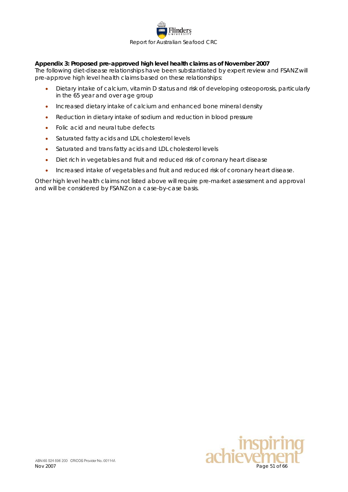

### <span id="page-50-0"></span>**Appendix 3: Proposed pre-approved high level health claims as of November 2007**

The following diet-disease relationships have been substantiated by expert review and FSANZ will pre-approve high level health claims based on these relationships:

- Dietary intake of calcium, vitamin D status and risk of developing osteoporosis, particularly in the 65 year and over age group
- Increased dietary intake of calcium and enhanced bone mineral density
- Reduction in dietary intake of sodium and reduction in blood pressure
- Folic acid and neural tube defects
- Saturated fatty acids and LDL cholesterol levels
- Saturated and trans fatty acids and LDL cholesterol levels
- Diet rich in vegetables and fruit and reduced risk of coronary heart disease
- Increased intake of vegetables and fruit and reduced risk of coronary heart disease.

Other high level health claims not listed above will require pre-market assessment and approval and will be considered by FSANZ on a case-by-case basis.

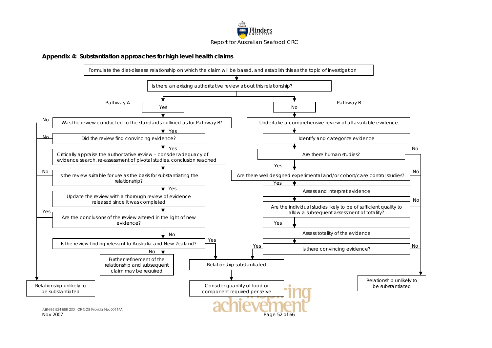

#### **Appendix 4: Substantiation approaches for high level health claims**

<span id="page-51-0"></span>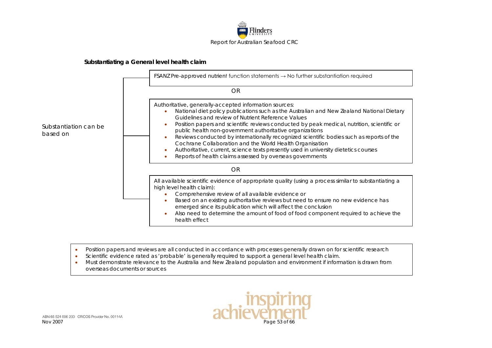

#### **Substantiating a General level health claim**



- Position papers and reviews are all conducted in accordance with processes generally drawn on for scientific research
- Scientific evidence rated as 'probable' is generally required to support a general level health claim.
- Must demonstrate relevance to the Australia and New Zealand population and environment if information is drawn from overseas documents or sources

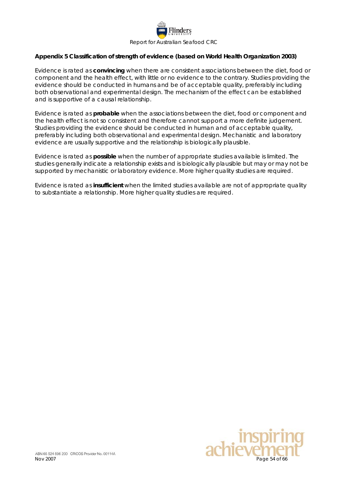

#### <span id="page-53-0"></span>**Appendix 5 Classification of strength of evidence (based on World Health Organization 2003)**

Evidence is rated as **convincing** when there are consistent associations between the diet, food or component and the health effect, with little or no evidence to the contrary. Studies providing the evidence should be conducted in humans and be of acceptable quality, preferably including both observational and experimental design. The mechanism of the effect can be established and is supportive of a causal relationship.

Evidence is rated as **probable** when the associations between the diet, food or component and the health effect is not so consistent and therefore cannot support a more definite judgement. Studies providing the evidence should be conducted in human and of acceptable quality, preferably including both observational and experimental design. Mechanistic and laboratory evidence are usually supportive and the relationship is biologically plausible.

Evidence is rated as **possible** when the number of appropriate studies available is limited. The studies generally indicate a relationship exists and is biologically plausible but may or may not be supported by mechanistic or laboratory evidence. More higher quality studies are required.

Evidence is rated as **insufficient** when the limited studies available are not of appropriate quality to substantiate a relationship. More higher quality studies are required.

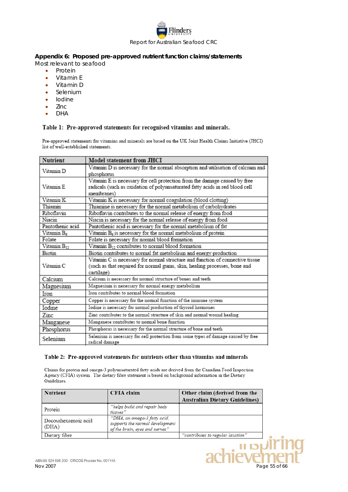

#### <span id="page-54-0"></span>**Appendix 6: Proposed pre-approved nutrient function claims/statements**

Most relevant to seafood

- Protein
- Vitamin E
- Vitamin D
- **Selenium**
- Iodine
- Zinc
- DHA

#### Table 1: Pre-approved statements for recognised vitamins and minerals.

Pre-approved statements for vitamins and minerals are based on the UK Joint Health Claims Initiative (JHCI) list of well-established statements.

| Nutrient                | Model statement from JHCI                                                                                                                                                |
|-------------------------|--------------------------------------------------------------------------------------------------------------------------------------------------------------------------|
| Vitamin D               | Vitamin D is necessary for the normal absorption and utilisation of calcium and<br>phosphorus                                                                            |
| Vitamin E               | Vitamin E is necessary for cell protection from the damage caused by free<br>radicals (such as oxidation of polyunsaturated fatty acids in red blood cell<br>membranes)  |
| Vitamin K               | Vitamin K is necessary for normal coagulation (blood clotting)                                                                                                           |
| Thiamin                 | Thiamine is necessary for the normal metabolism of carbohydrates                                                                                                         |
| Riboflavin              | Riboflavin contributes to the normal release of energy from food                                                                                                         |
| Niacin                  | Niacin is necessary for the normal release of energy from food                                                                                                           |
| Pantothenic acid        | Pantothenic acid is necessary for the normal metabolism of fat                                                                                                           |
| Vitamin B <sub>6</sub>  | Vitamin $B_6$ is necessary for the normal metabolism of protein                                                                                                          |
| Folate                  | Folate is necessary for normal blood formation                                                                                                                           |
| Vitamin B <sub>12</sub> | Vitamin B <sub>12</sub> contributes to normal blood formation                                                                                                            |
| Biotin                  | Biotin contributes to normal fat metabolism and energy production                                                                                                        |
| Vitamin C               | Vitamin C is necessary for normal structure and function of connective tissue<br>(such as that required for normal gums, skin, healing processes, bone and<br>cartilage) |
| Calcium                 | Calcium is necessary for normal structure of bones and teeth                                                                                                             |
| Magnesium               | Magnesium is necessary for normal energy metabolism                                                                                                                      |
| Iron                    | Iron contributes to normal blood formation                                                                                                                               |
| Copper                  | Copper is necessary for the normal function of the immune system                                                                                                         |
| Iodine                  | Iodine is necessary for normal production of thyroid hormones                                                                                                            |
| Zinc                    | Zinc contributes to the normal structure of skin and normal wound healing                                                                                                |
| Manganese               | Manganese contributes to normal bone function                                                                                                                            |
| Phosphorus              | Phosphorus is necessary for the normal structure of bone and teeth                                                                                                       |
| Selenium                | Selenium is necessary for cell protection from some types of damage caused by free<br>radical damage                                                                     |

#### Table 2: Pre-approved statements for nutrients other than vitamins and minerals

Claims for protein and omega-3 polyunsaturated fatty acids are derived from the Canadian Food Inspection Agency (CFIA) system. The dietary fibre statement is based on background information in the Dietary Guidelines.

| <b>Nutrient</b>               | CFIA claim                                                                                        | Other claim (derived from the         |
|-------------------------------|---------------------------------------------------------------------------------------------------|---------------------------------------|
|                               |                                                                                                   | <b>Australian Dietary Guidelines)</b> |
| Protein                       | "helps build and repair body<br>tissues"                                                          |                                       |
| Docosahexaenoic acid<br>(DHA) | "DHA, an omega-3 fatty acid,<br>supports the normal development<br>of the brain, eves and nerves" |                                       |
| Dietary fibre                 |                                                                                                   | "contributes to regular laxation"     |

וכו וו<br>Aveir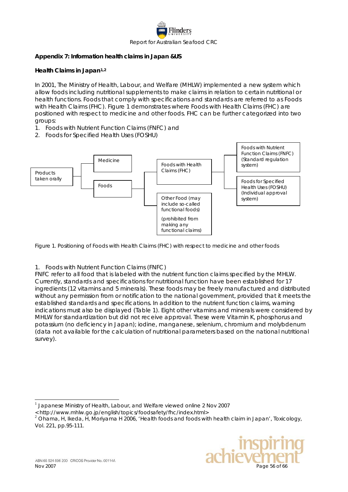

### <span id="page-55-0"></span>**Appendix 7: Information health claims in Japan &US**

#### **Health Claims in Japan[1](#page-55-1),[2](#page-55-2)**

In 2001, The Ministry of Health, Labour, and Welfare (MHLW) implemented a new system which allow foods including nutritional supplements to make claims in relation to certain nutritional or health functions. Foods that comply with specifications and standards are referred to as Foods with Health Claims (FHC). Figure 1 demonstrates where Foods with Health Claims (FHC) are positioned with respect to medicine and other foods. FHC can be further categorized into two groups:

- 1. Foods with Nutrient Function Claims (FNFC) and
- 2. Foods for Specified Health Uses (FOSHU)



Figure 1. Positioning of Foods with Health Claims (FHC) with respect to medicine and other foods

### 1. Foods with Nutrient Function Claims (FNFC)

FNFC refer to all food that is labeled with the nutrient function claims specified by the MHLW. Currently, standards and specifications for nutritional function have been established for 17 ingredients (12 vitamins and 5 minerals). These foods may be freely manufactured and distributed without any permission from or notification to the national government, provided that it meets the established standards and specifications. In addition to the nutrient function claims, warning indications must also be displayed (Table 1). Eight other vitamins and minerals were considered by MHLW for standardization but did not receive approval. These were Vitamin K, phosphorus and potassium (no deficiency in Japan); iodine, manganese, selenium, chromium and molybdenum (data not available for the calculation of nutritional parameters based on the national nutritional survey).

<span id="page-55-2"></span><sup>2</sup> Ohama, H, Ikeda, H, Moriyama H 2006, 'Health foods and foods with health claim in Japan', *Toxicology*, Vol. 221, pp.95-111.



<sup>1</sup> Japanese Ministry of Health, Labour, and Welfare viewed online 2 Nov 2007

<span id="page-55-1"></span><sup>&</sup>lt; http://www.mhlw.go.jp/english/topics/foodsafety/fhc/index.html>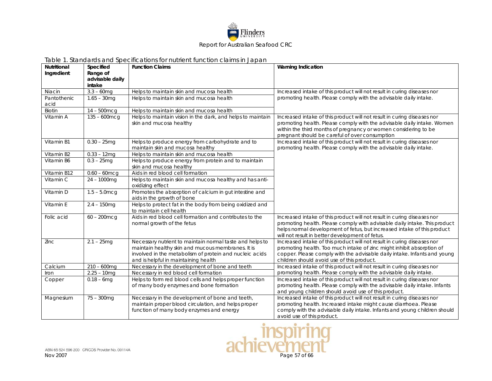

|                    |                         | Table T. Standards and Specifications for nutrient function claims in Japan.                                                                                                                                     |                                                                                                                                                                                                                                                                                    |
|--------------------|-------------------------|------------------------------------------------------------------------------------------------------------------------------------------------------------------------------------------------------------------|------------------------------------------------------------------------------------------------------------------------------------------------------------------------------------------------------------------------------------------------------------------------------------|
| <b>Nutritional</b> | Specified               | <b>Function Claims</b>                                                                                                                                                                                           | <b>Warning Indication</b>                                                                                                                                                                                                                                                          |
| Ingredient         | Range of                |                                                                                                                                                                                                                  |                                                                                                                                                                                                                                                                                    |
|                    | advisable daily         |                                                                                                                                                                                                                  |                                                                                                                                                                                                                                                                                    |
| Niacin             | intake<br>$3.3 - 60$ mg | Helps to maintain skin and mucosa health                                                                                                                                                                         | Increased intake of this product will not result in curing diseases nor                                                                                                                                                                                                            |
| Pantothenic        |                         | Helps to maintain skin and mucosa health                                                                                                                                                                         | promoting health. Please comply with the advisable daily intake.                                                                                                                                                                                                                   |
| acid               | $1.65 - 30$ mg          |                                                                                                                                                                                                                  |                                                                                                                                                                                                                                                                                    |
| Biotin             | $14 - 500$ mcg          | Helps to maintain skin and mucosa health                                                                                                                                                                         |                                                                                                                                                                                                                                                                                    |
| Vitamin A          | $135 - 600$ mcg         | Helps to maintain vision in the dark, and helps to maintain<br>skin and mucosa healthy                                                                                                                           | Increased intake of this product will not result in curing diseases nor<br>promoting health. Please comply with the advisable daily intake. Women<br>within the third months of pregnancy or women considering to be<br>pregnant should be careful of over consumption             |
| Vitamin B1         | $0.30 - 25mg$           | Helps to produce energy from carbohydrate and to<br>maintain skin and mucosa healthy                                                                                                                             | Increased intake of this product will not result in curing diseases nor<br>promoting health. Please comply with the advisable daily intake.                                                                                                                                        |
| Vitamin B2         | $0.33 - 12mg$           | Helps to maintain skin and mucosa health                                                                                                                                                                         |                                                                                                                                                                                                                                                                                    |
| Vitamin B6         | $0.3 - 25$ mg           | Helps to produce energy from protein and to maintain<br>skin and mucosa healthy                                                                                                                                  |                                                                                                                                                                                                                                                                                    |
| Vitamin B12        | $0.60 - 60$ mcg         | Aids in red blood cell formation                                                                                                                                                                                 |                                                                                                                                                                                                                                                                                    |
| Vitamin C          | $24 - 1000$ mg          | Helps to maintain skin and mucosa healthy and has anti-<br>oxidizing effect                                                                                                                                      |                                                                                                                                                                                                                                                                                    |
| Vitamin D          | $1.5 - 5.0$ mcg         | Promotes the absorption of calcium in gut intestine and<br>aids in the growth of bone                                                                                                                            |                                                                                                                                                                                                                                                                                    |
| Vitamin E          | $2.4 - 150mg$           | Helps to protect fat in the body from being oxidized and<br>to maintain cell health                                                                                                                              |                                                                                                                                                                                                                                                                                    |
| Folic acid         | $60 - 200$ mcg          | Aids in red blood cell formation and contributes to the<br>normal growth of the fetus                                                                                                                            | Increased intake of this product will not result in curing diseases nor<br>promoting health. Please comply with advisable daily intake. This product<br>helps normal development of fetus, but increased intake of this product<br>will not result in better development of fetus. |
| Zinc               | $2.1 - 25mg$            | Necessary nutrient to maintain normal taste and helps to<br>maintain healthy skin and mucous membranes. It is<br>involved in the metabolism of protein and nucleic acids<br>and is helpful in maintaining health | Increased intake of this product will not result in curing diseases nor<br>promoting health. Too much intake of zinc might inhibit absorption of<br>copper. Please comply with the advisable daily intake. Infants and young<br>children should avoid use of this product.         |
| Calcium            | $210 - 600$ mg          | Necessary in the development of bone and teeth                                                                                                                                                                   | Increased intake of this product will not result in curing diseases nor                                                                                                                                                                                                            |
| Iron               | $2.25 - 10mg$           | Necessary in red blood cell formation                                                                                                                                                                            | promoting health. Please comply with the advisable daily intake.                                                                                                                                                                                                                   |
| Copper             | $0.18 - 6$ mg           | Helps to form red blood cells and helps proper function<br>of many body enzymes and bone formation                                                                                                               | Increased intake of this product will not result in curing diseases nor<br>promoting health. Please comply with the advisable daily intake. Infants<br>and young children should avoid use of this product.                                                                        |
| Magnesium          | 75 - 300mg              | Necessary in the development of bone and teeth,<br>maintain proper blood circulation, and helps proper<br>function of many body enzymes and energy                                                               | Increased intake of this product will not result in curing diseases nor<br>promoting health. Increased intake might cause diarrhoea. Please<br>comply with the advisable daily intake. Infants and young children should<br>avoid use of this product.                             |

#### Table 1. Standards and Specifications for nutrient function claims in Japan

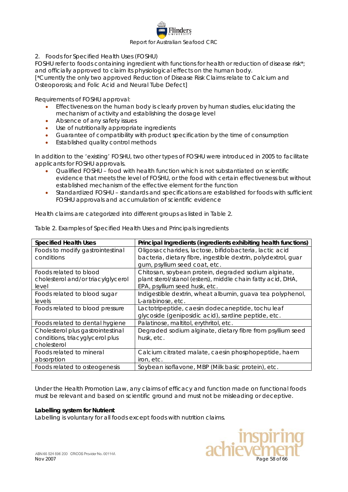

2. Foods for Specified Health Uses (FOSHU)

FOSHU refer to foods containing ingredient with functions for health or reduction of disease risk\*; and officially approved to claim its physiological effects on the human body. [\*Currently the only two approved Reduction of Disease Risk Claims relate to Calcium and Osteoporosis; and Folic Acid and Neural Tube Defect]

Requirements of FOSHU approval:

- Effectiveness on the human body is clearly proven by human studies, elucidating the mechanism of activity and establishing the dosage level
- Absence of any safety issues
- Use of nutritionally appropriate ingredients
- Guarantee of compatibility with product specification by the time of consumption
- Established quality control methods

In addition to the 'existing' FOSHU, two other types of FOSHU were introduced in 2005 to facilitate applicants for FOSHU approvals.

- Qualified FOSHU food with health function which is not substantiated on scientific evidence that meets the level of FOSHU, or the food with certain effectiveness but without established mechanism of the effective element for the function
- Standardized FOSHU standards and specifications are established for foods with sufficient FOSHU approvals and accumulation of scientific evidence

Health claims are categorized into different groups as listed in Table 2.

| <b>Specified Health Uses</b>       | Principal Ingredients (ingredients exhibiting health functions) |
|------------------------------------|-----------------------------------------------------------------|
| Foods to modify gastrointestinal   | Oligosaccharides, lactose, bifidobacteria, lactic acid          |
| conditions                         | bacteria, dietary fibre, ingestible dextrin, polydextrol, quar  |
|                                    | gum, psyllium seed coat, etc.                                   |
| Foods related to blood             | Chitosan, soybean protein, degraded sodium alginate,            |
| cholesterol and/or triacylglycerol | plant sterol/stanol (esters), middle chain fatty acid, DHA,     |
| level                              | EPA, psyllium seed husk, etc.                                   |
| Foods related to blood sugar       | Indigestible dextrin, wheat albumin, guava tea polyphenol,      |
| levels                             | L-arabinose, etc.                                               |
| Foods related to blood pressure    | Lactotripeptide, caesin dodecaneptide, tochu leaf               |
|                                    | glycoside (geniposidic acid), sardine peptide, etc.             |
| Foods related to dental hygiene    | Palatinose, maltitol, erythritol, etc.                          |
| Cholesterol plus gastrointestinal  | Degraded sodium alginate, dietary fibre from psyllium seed      |
| conditions, triacyglycerol plus    | husk, etc.                                                      |
| cholesterol                        |                                                                 |
| Foods related to mineral           | Calcium citrated malate, caesin phosphopeptide, haem            |
| absorption                         | iron, etc.                                                      |
| Foods related to osteogenesis      | Soybean isoflavone, MBP (Milk basic protein), etc.              |

Table 2. Examples of Specified Health Uses and Principals ingredients

Under the Health Promotion Law, any claims of efficacy and function made on functional foods must be relevant and based on scientific ground and must not be misleading or deceptive.

#### **Labelling system for Nutrient**

Labelling is voluntary for all foods except foods with nutrition claims.

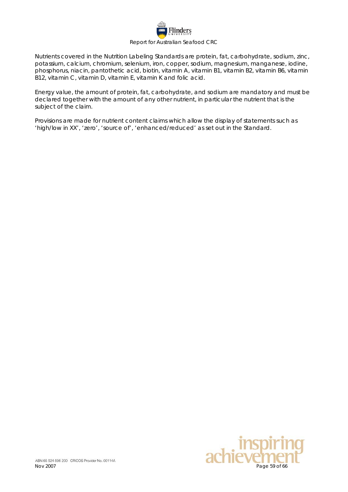

Nutrients covered in the Nutrition Labeling Standards are protein, fat, carbohydrate, sodium, zinc, potassium, calcium, chromium, selenium, iron, copper, sodium, magnesium, manganese, iodine, phosphorus, niacin, pantothetic acid, biotin, vitamin A, vitamin B1, vitamin B2, vitamin B6, vitamin B12, vitamin C, vitamin D, vitamin E, vitamin K and folic acid.

Energy value, the amount of protein, fat, carbohydrate, and sodium are mandatory and must be declared together with the amount of any other nutrient, in particular the nutrient that is the subject of the claim.

Provisions are made for nutrient content claims which allow the display of statements such as 'high/low in XX', 'zero', 'source of', 'enhanced/reduced' as set out in the Standard.

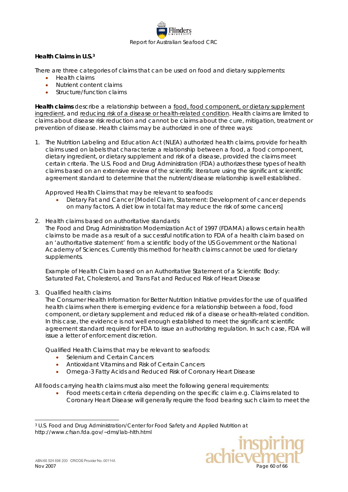

### **Health Claims in U.S.[3](#page-59-0)**

There are three categories of claims that can be used on food and dietary supplements:

- Health claims
- Nutrient content claims
- Structure/function claims

**Health claims** describe a relationship between a food, food component, or dietary supplement ingredient, and reducing risk of a disease or health-related condition. Health claims are limited to claims about disease risk reduction and cannot be claims about the cure, mitigation, treatment or prevention of disease. Health claims may be authorized in one of three ways:

1. The Nutrition Labeling and Education Act (NLEA) authorized health claims, provide for health claims used on labels that characterize a relationship between a food, a food component, dietary ingredient, or dietary supplement and risk of a disease, provided the claims meet certain criteria. The U.S. Food and Drug Administration (FDA) authorizes these types of health claims based on an extensive review of the scientific literature using the significant scientific agreement standard to determine that the nutrient/disease relationship is well established.

Approved Health Claims that may be relevant to seafoods:

- Dietary Fat and Cancer [Model Claim, Statement: Development of cancer depends on many factors. A diet low in total fat may reduce the risk of some cancers]
- 2. Health claims based on authoritative standards

The Food and Drug Administration Modernization Act of 1997 (FDAMA) allows certain health claims to be made as a result of a successful notification to FDA of a health claim based on an 'authoritative statement' from a scientific body of the US Government or the National Academy of Sciences. Currently this method for health claims cannot be used for dietary supplements.

Example of Health Claim based on an Authoritative Statement of a Scientific Body: Saturated Fat, Cholesterol, and Trans Fat and Reduced Risk of Heart Disease

3. Qualified health claims

The Consumer Health Information for Better Nutrition Initiative provides for the use of qualified health claims when there is emerging evidence for a relationship between a food, food component, or dietary supplement and reduced risk of a disease or health-related condition. In this case, the evidence is not well enough established to meet the significant scientific agreement standard required for FDA to issue an authorizing regulation. In such case, FDA will issue a letter of enforcement discretion.

Qualified Health Claims that may be relevant to seafoods:

- Selenium and Certain Cancers
- Antioxidant Vitamins and Risk of Certain Cancers
- Omega-3 Fatty Acids and Reduced Risk of Coronary Heart Disease

All foods carrying health claims must also meet the following general requirements:

• Food meets certain criteria depending on the specific claim e.g. Claims related to Coronary Heart Disease will generally require the food bearing such claim to meet the

<span id="page-59-0"></span> <sup>3</sup> U.S. Food and Drug Administration/Center for Food Safety and Applied Nutrition at http://www.cfsan.fda.gov/~dms/lab-hlth.html

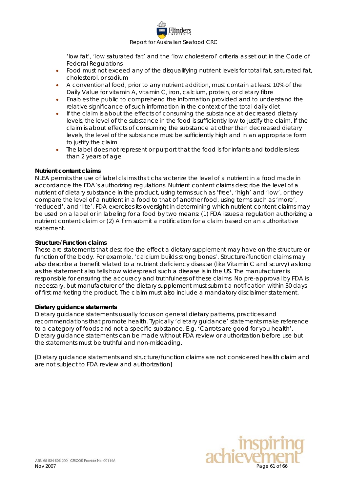

'low fat', 'low saturated fat' and the 'low cholesterol' criteria as set out in the Code of Federal Regulations

- Food must not exceed any of the disqualifying nutrient levels for total fat, saturated fat, cholesterol, or sodium
- A conventional food, prior to any nutrient addition, must contain at least 10% of the Daily Value for vitamin A, vitamin C, iron, calcium, protein, or dietary fibre
- Enables the public to comprehend the information provided and to understand the relative significance of such information in the context of the total daily diet
- If the claim is about the effects of consuming the substance at decreased dietary levels, the level of the substance in the food is sufficiently low to justify the claim. If the claim is about effects of consuming the substance at other than decreased dietary levels, the level of the substance must be sufficiently high and in an appropriate form to justify the claim
- The label does not represent or purport that the food is for infants and toddlers less than 2 years of age

#### **Nutrient content claims**

NLEA permits the use of label claims that characterize the level of a nutrient in a food made in accordance the FDA's authorizing regulations. Nutrient content claims describe the level of a nutrient of dietary substance in the product, using terms such as 'free', 'high' and 'low', or they compare the level of a nutrient in a food to that of another food, using terms such as 'more', 'reduced', and 'lite'. FDA exercises its oversight in determining which nutrient content claims may be used on a label or in labeling for a food by two means: (1) FDA issues a regulation authorizing a nutrient content claim or (2) A firm submit a notification for a claim based on an authoritative statement.

#### **Structure/Function claims**

These are statements that describe the effect a dietary supplement may have on the structure or function of the body. For example, 'calcium builds strong bones'. Structure/function claims may also describe a benefit related to a nutrient deficiency disease (like Vitamin C and scurvy) as long as the statement also tells how widespread such a disease is in the US. The manufacturer is responsible for ensuring the accuracy and truthfulness of these claims. No pre-approval by FDA is necessary, but manufacturer of the dietary supplement must submit a notification within 30 days of first marketing the product. The claim must also include a mandatory disclaimer statement.

#### **Dietary guidance statements**

Dietary guidance statements usually focus on general dietary patterns, practices and recommendations that promote health. Typically 'dietary guidance' statements make reference to a category of foods and not a specific substance. E.g. 'Carrots are good for you health'. Dietary guidance statements can be made without FDA review or authorization before use but the statements must be truthful and non-misleading.

[Dietary guidance statements and structure/function claims are not considered health claim and are not subject to FDA review and authorization]

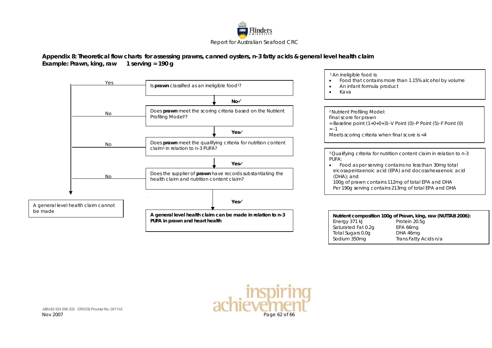

#### **Appendix 8: Theoretical flow charts for assessing prawns, canned oysters, n-3 fatty acids & general level health claim Example: Prawn, king, raw 1 serving = 190 g**

<span id="page-61-0"></span>

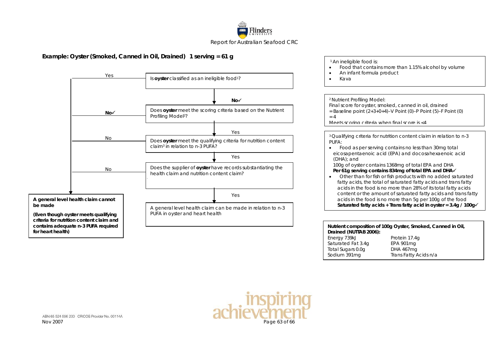

### **Example: Oyster (Smoked, Canned in Oil, Drained) 1 serving = 61 g**



| <sup>1</sup> An ineligible food is:<br>Food that contains more than 1.15% alcohol by volume<br>An infant formula product<br>Kava                                                                                                                                                                                                                                                                                                                                                                                                                                                                                                                                                                                                                 |                                                                                                                                        |
|--------------------------------------------------------------------------------------------------------------------------------------------------------------------------------------------------------------------------------------------------------------------------------------------------------------------------------------------------------------------------------------------------------------------------------------------------------------------------------------------------------------------------------------------------------------------------------------------------------------------------------------------------------------------------------------------------------------------------------------------------|----------------------------------------------------------------------------------------------------------------------------------------|
|                                                                                                                                                                                                                                                                                                                                                                                                                                                                                                                                                                                                                                                                                                                                                  |                                                                                                                                        |
| <sup>2</sup> Nutrient Profiling Model:<br>Final score for oyster, smoked, canned in oil, drained<br>= Baseline point $(2+3+0+4)-V$ Point (0)-P Point (5)-F Point (0)<br>$= 4$<br>Meets scoring criteria when final score is <4                                                                                                                                                                                                                                                                                                                                                                                                                                                                                                                   |                                                                                                                                        |
|                                                                                                                                                                                                                                                                                                                                                                                                                                                                                                                                                                                                                                                                                                                                                  |                                                                                                                                        |
| <sup>3</sup> Qualifying criteria for nutrition content claim in relation to n-3<br>PUFA:<br>Food as per serving contains no less than 30 mg total<br>eicosapentaenoic acid (EPA) and docosahexaenoic acid<br>(DHA); and<br>100g of oyster contains 1368mg of total EPA and DHA<br>Per 61g serving contains 834mg of total EPA and DHA√<br>Other than for fish or fish products with no added saturated<br>fatty acids, the total of saturated fatty acids and trans fatty<br>acids in the food is no more than 28% of its total fatty acids<br>content or the amount of saturated fatty acids and trans fatty<br>acids in the food is no more than 5g per 100g of the food<br>Saturated fatty acids + Trans fatty acid in oyster = $3.4g / 100g$ |                                                                                                                                        |
|                                                                                                                                                                                                                                                                                                                                                                                                                                                                                                                                                                                                                                                                                                                                                  |                                                                                                                                        |
| Drained (NUTTAB 2006):<br>Energy 739kJ<br>Saturated Fat 3.4q<br>Total Sugars 0.0g<br>Sodium 391mg                                                                                                                                                                                                                                                                                                                                                                                                                                                                                                                                                                                                                                                | Nutrient composition of 100g Oyster, Smoked, Canned in Oil,<br>Protein 17.4q<br><b>EPA 901mg</b><br>DHA 467mg<br>Trans Fatty Acids n/a |

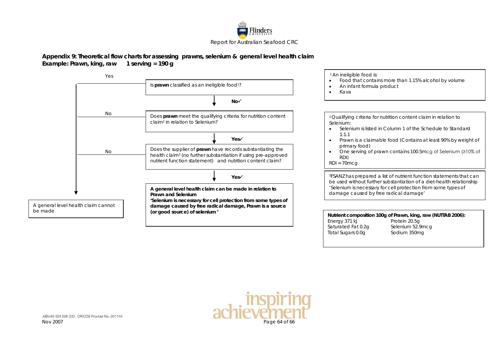

#### **Appendix 9: Theoretical flow charts for assessing prawns, selenium & general level health claim Example: Prawn, king, raw 1 serving = 190 g**



<span id="page-63-0"></span>Nov 2007 Page 64 of 66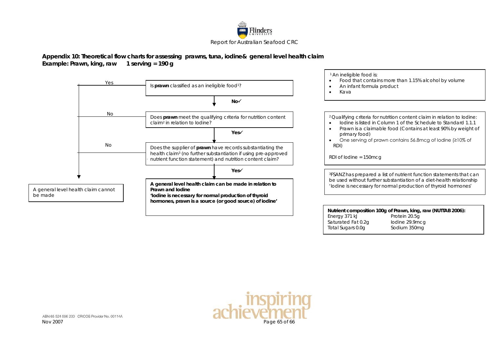

#### **Appendix 10: Theoretical flow charts for assessing prawns, tuna, iodine& general level health claim Example: Prawn, king, raw 1 serving = 190 g**



Total Sugars 0.0g Sodium 350mg

<span id="page-64-0"></span>